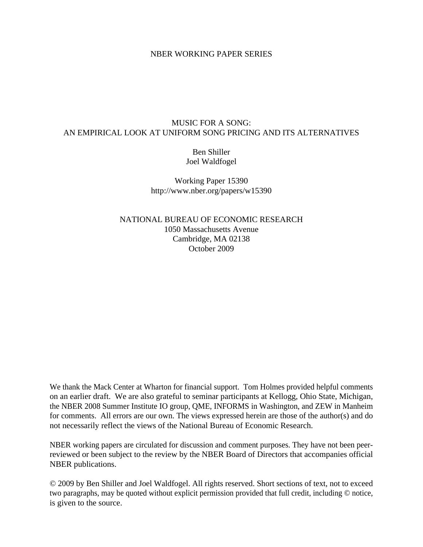## NBER WORKING PAPER SERIES

# MUSIC FOR A SONG: AN EMPIRICAL LOOK AT UNIFORM SONG PRICING AND ITS ALTERNATIVES

Ben Shiller Joel Waldfogel

Working Paper 15390 http://www.nber.org/papers/w15390

NATIONAL BUREAU OF ECONOMIC RESEARCH 1050 Massachusetts Avenue Cambridge, MA 02138 October 2009

We thank the Mack Center at Wharton for financial support. Tom Holmes provided helpful comments on an earlier draft. We are also grateful to seminar participants at Kellogg, Ohio State, Michigan, the NBER 2008 Summer Institute IO group, QME, INFORMS in Washington, and ZEW in Manheim for comments. All errors are our own. The views expressed herein are those of the author(s) and do not necessarily reflect the views of the National Bureau of Economic Research.

NBER working papers are circulated for discussion and comment purposes. They have not been peerreviewed or been subject to the review by the NBER Board of Directors that accompanies official NBER publications.

© 2009 by Ben Shiller and Joel Waldfogel. All rights reserved. Short sections of text, not to exceed two paragraphs, may be quoted without explicit permission provided that full credit, including © notice, is given to the source.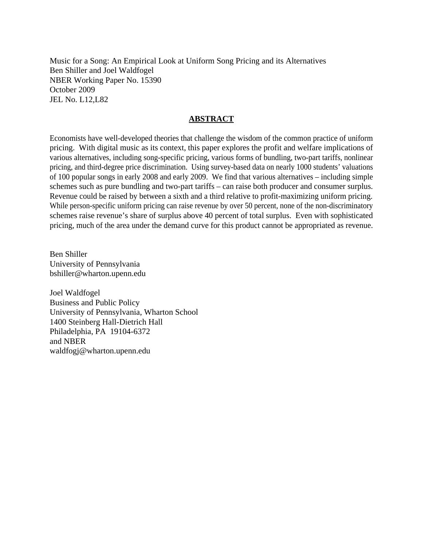Music for a Song: An Empirical Look at Uniform Song Pricing and its Alternatives Ben Shiller and Joel Waldfogel NBER Working Paper No. 15390 October 2009 JEL No. L12,L82

## **ABSTRACT**

Economists have well-developed theories that challenge the wisdom of the common practice of uniform pricing. With digital music as its context, this paper explores the profit and welfare implications of various alternatives, including song-specific pricing, various forms of bundling, two-part tariffs, nonlinear pricing, and third-degree price discrimination. Using survey-based data on nearly 1000 students' valuations of 100 popular songs in early 2008 and early 2009. We find that various alternatives – including simple schemes such as pure bundling and two-part tariffs – can raise both producer and consumer surplus. Revenue could be raised by between a sixth and a third relative to profit-maximizing uniform pricing. While person-specific uniform pricing can raise revenue by over 50 percent, none of the non-discriminatory schemes raise revenue's share of surplus above 40 percent of total surplus. Even with sophisticated pricing, much of the area under the demand curve for this product cannot be appropriated as revenue.

Ben Shiller University of Pennsylvania bshiller@wharton.upenn.edu

Joel Waldfogel Business and Public Policy University of Pennsylvania, Wharton School 1400 Steinberg Hall-Dietrich Hall Philadelphia, PA 19104-6372 and NBER waldfogj@wharton.upenn.edu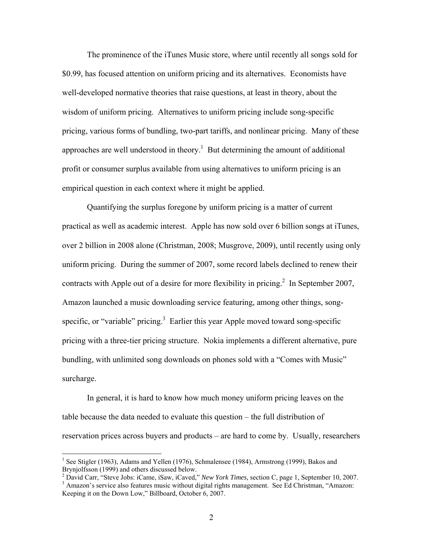The prominence of the iTunes Music store, where until recently all songs sold for \$0.99, has focused attention on uniform pricing and its alternatives. Economists have well-developed normative theories that raise questions, at least in theory, about the wisdom of uniform pricing. Alternatives to uniform pricing include song-specific pricing, various forms of bundling, two-part tariffs, and nonlinear pricing. Many of these approaches are well understood in theory.<sup>1</sup> But determining the amount of additional profit or consumer surplus available from using alternatives to uniform pricing is an empirical question in each context where it might be applied.

Quantifying the surplus foregone by uniform pricing is a matter of current practical as well as academic interest. Apple has now sold over 6 billion songs at iTunes, over 2 billion in 2008 alone (Christman, 2008; Musgrove, 2009), until recently using only uniform pricing. During the summer of 2007, some record labels declined to renew their contracts with Apple out of a desire for more flexibility in pricing.<sup>2</sup> In September 2007, Amazon launched a music downloading service featuring, among other things, songspecific, or "variable" pricing. $3$  Earlier this year Apple moved toward song-specific pricing with a three-tier pricing structure. Nokia implements a different alternative, pure bundling, with unlimited song downloads on phones sold with a "Comes with Music" surcharge.

In general, it is hard to know how much money uniform pricing leaves on the table because the data needed to evaluate this question – the full distribution of reservation prices across buyers and products – are hard to come by. Usually, researchers

 $\overline{a}$ 

<sup>&</sup>lt;sup>1</sup> See Stigler (1963), Adams and Yellen (1976), Schmalensee (1984), Armstrong (1999), Bakos and Brynjolfsson (1999) and others discussed below.

<sup>&</sup>lt;sup>2</sup> David Carr, "Steve Jobs: iCame, iSaw, iCaved," *New York Times*, section C, page 1, September 10, 2007.

<sup>&</sup>lt;sup>3</sup> Amazon's service also features music without digital rights management. See Ed Christman, "Amazon: Keeping it on the Down Low," Billboard, October 6, 2007.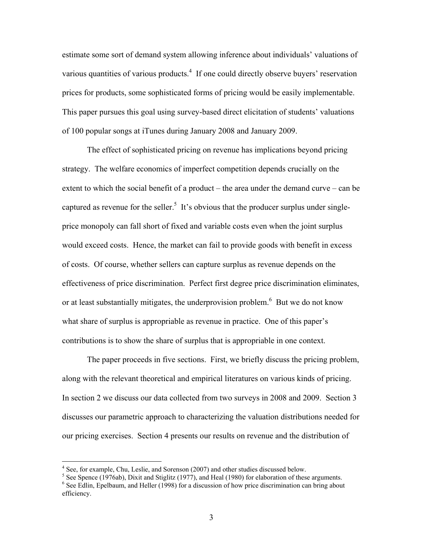estimate some sort of demand system allowing inference about individuals' valuations of various quantities of various products.<sup>4</sup> If one could directly observe buyers' reservation prices for products, some sophisticated forms of pricing would be easily implementable. This paper pursues this goal using survey-based direct elicitation of students' valuations of 100 popular songs at iTunes during January 2008 and January 2009.

The effect of sophisticated pricing on revenue has implications beyond pricing strategy. The welfare economics of imperfect competition depends crucially on the extent to which the social benefit of a product – the area under the demand curve – can be captured as revenue for the seller.<sup>5</sup> It's obvious that the producer surplus under singleprice monopoly can fall short of fixed and variable costs even when the joint surplus would exceed costs. Hence, the market can fail to provide goods with benefit in excess of costs. Of course, whether sellers can capture surplus as revenue depends on the effectiveness of price discrimination. Perfect first degree price discrimination eliminates, or at least substantially mitigates, the underprovision problem.<sup>6</sup> But we do not know what share of surplus is appropriable as revenue in practice. One of this paper's contributions is to show the share of surplus that is appropriable in one context.

 The paper proceeds in five sections. First, we briefly discuss the pricing problem, along with the relevant theoretical and empirical literatures on various kinds of pricing. In section 2 we discuss our data collected from two surveys in 2008 and 2009. Section 3 discusses our parametric approach to characterizing the valuation distributions needed for our pricing exercises. Section 4 presents our results on revenue and the distribution of

 4 See, for example, Chu, Leslie, and Sorenson (2007) and other studies discussed below.

 $<sup>5</sup>$  See Spence (1976ab), Dixit and Stiglitz (1977), and Heal (1980) for elaboration of these arguments.</sup>

<sup>&</sup>lt;sup>6</sup> See Edlin, Epelbaum, and Heller (1998) for a discussion of how price discrimination can bring about efficiency.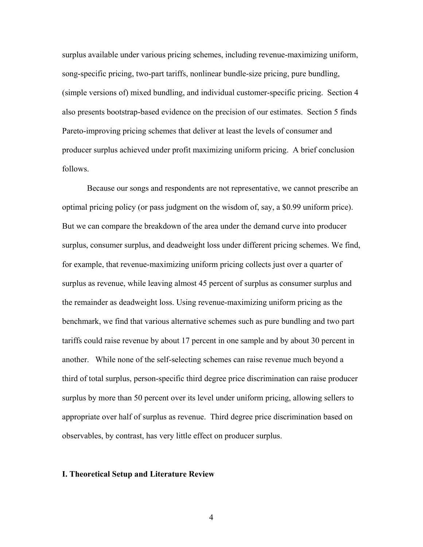surplus available under various pricing schemes, including revenue-maximizing uniform, song-specific pricing, two-part tariffs, nonlinear bundle-size pricing, pure bundling, (simple versions of) mixed bundling, and individual customer-specific pricing. Section 4 also presents bootstrap-based evidence on the precision of our estimates. Section 5 finds Pareto-improving pricing schemes that deliver at least the levels of consumer and producer surplus achieved under profit maximizing uniform pricing. A brief conclusion follows.

 Because our songs and respondents are not representative, we cannot prescribe an optimal pricing policy (or pass judgment on the wisdom of, say, a \$0.99 uniform price). But we can compare the breakdown of the area under the demand curve into producer surplus, consumer surplus, and deadweight loss under different pricing schemes. We find, for example, that revenue-maximizing uniform pricing collects just over a quarter of surplus as revenue, while leaving almost 45 percent of surplus as consumer surplus and the remainder as deadweight loss. Using revenue-maximizing uniform pricing as the benchmark, we find that various alternative schemes such as pure bundling and two part tariffs could raise revenue by about 17 percent in one sample and by about 30 percent in another. While none of the self-selecting schemes can raise revenue much beyond a third of total surplus, person-specific third degree price discrimination can raise producer surplus by more than 50 percent over its level under uniform pricing, allowing sellers to appropriate over half of surplus as revenue. Third degree price discrimination based on observables, by contrast, has very little effect on producer surplus.

#### **I. Theoretical Setup and Literature Review**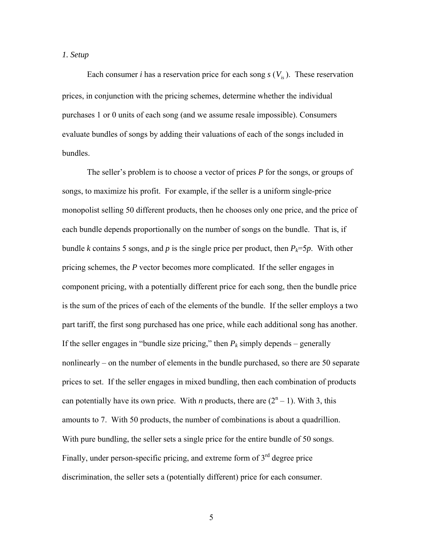## *1. Setup*

Each consumer *i* has a reservation price for each song  $s(V_i)$ . These reservation prices, in conjunction with the pricing schemes, determine whether the individual purchases 1 or 0 units of each song (and we assume resale impossible). Consumers evaluate bundles of songs by adding their valuations of each of the songs included in bundles.

 The seller's problem is to choose a vector of prices *P* for the songs, or groups of songs, to maximize his profit. For example, if the seller is a uniform single-price monopolist selling 50 different products, then he chooses only one price, and the price of each bundle depends proportionally on the number of songs on the bundle. That is, if bundle *k* contains 5 songs, and *p* is the single price per product, then  $P_k = 5p$ . With other pricing schemes, the *P* vector becomes more complicated. If the seller engages in component pricing, with a potentially different price for each song, then the bundle price is the sum of the prices of each of the elements of the bundle. If the seller employs a two part tariff, the first song purchased has one price, while each additional song has another. If the seller engages in "bundle size pricing," then  $P_k$  simply depends – generally nonlinearly – on the number of elements in the bundle purchased, so there are 50 separate prices to set. If the seller engages in mixed bundling, then each combination of products can potentially have its own price. With *n* products, there are  $(2<sup>n</sup> - 1)$ . With 3, this amounts to 7. With 50 products, the number of combinations is about a quadrillion. With pure bundling, the seller sets a single price for the entire bundle of 50 songs. Finally, under person-specific pricing, and extreme form of  $3<sup>rd</sup>$  degree price discrimination, the seller sets a (potentially different) price for each consumer.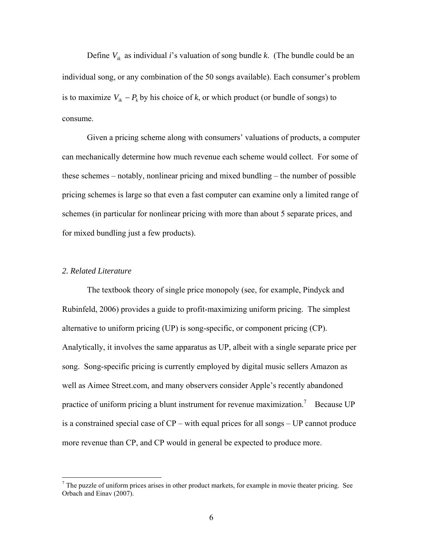Define  $V_{ik}$  as individual *i*'s valuation of song bundle *k*. (The bundle could be an individual song, or any combination of the 50 songs available). Each consumer's problem is to maximize  $V_{ik} - P_k$  by his choice of *k*, or which product (or bundle of songs) to consume.

 Given a pricing scheme along with consumers' valuations of products, a computer can mechanically determine how much revenue each scheme would collect. For some of these schemes – notably, nonlinear pricing and mixed bundling – the number of possible pricing schemes is large so that even a fast computer can examine only a limited range of schemes (in particular for nonlinear pricing with more than about 5 separate prices, and for mixed bundling just a few products).

## *2. Related Literature*

 The textbook theory of single price monopoly (see, for example, Pindyck and Rubinfeld, 2006) provides a guide to profit-maximizing uniform pricing. The simplest alternative to uniform pricing (UP) is song-specific, or component pricing (CP). Analytically, it involves the same apparatus as UP, albeit with a single separate price per song. Song-specific pricing is currently employed by digital music sellers Amazon as well as Aimee Street.com, and many observers consider Apple's recently abandoned practice of uniform pricing a blunt instrument for revenue maximization.<sup>7</sup> Because UP is a constrained special case of CP – with equal prices for all songs – UP cannot produce more revenue than CP, and CP would in general be expected to produce more.

<sup>&</sup>lt;sup>7</sup> The puzzle of uniform prices arises in other product markets, for example in movie theater pricing. See Orbach and Einav (2007).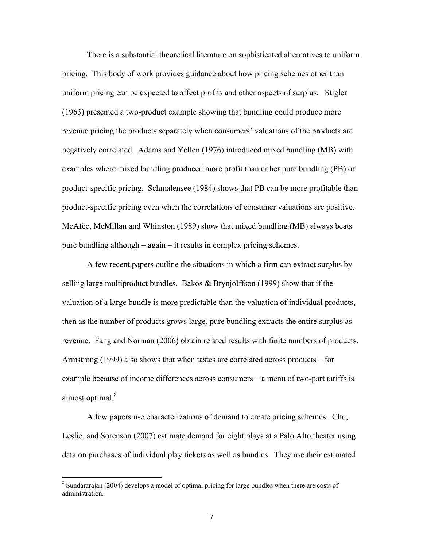There is a substantial theoretical literature on sophisticated alternatives to uniform pricing. This body of work provides guidance about how pricing schemes other than uniform pricing can be expected to affect profits and other aspects of surplus. Stigler (1963) presented a two-product example showing that bundling could produce more revenue pricing the products separately when consumers' valuations of the products are negatively correlated. Adams and Yellen (1976) introduced mixed bundling (MB) with examples where mixed bundling produced more profit than either pure bundling (PB) or product-specific pricing. Schmalensee (1984) shows that PB can be more profitable than product-specific pricing even when the correlations of consumer valuations are positive. McAfee, McMillan and Whinston (1989) show that mixed bundling (MB) always beats pure bundling although – again – it results in complex pricing schemes.

A few recent papers outline the situations in which a firm can extract surplus by selling large multiproduct bundles. Bakos & Brynjolffson (1999) show that if the valuation of a large bundle is more predictable than the valuation of individual products, then as the number of products grows large, pure bundling extracts the entire surplus as revenue. Fang and Norman (2006) obtain related results with finite numbers of products. Armstrong (1999) also shows that when tastes are correlated across products – for example because of income differences across consumers – a menu of two-part tariffs is almost optimal.<sup>8</sup>

A few papers use characterizations of demand to create pricing schemes. Chu, Leslie, and Sorenson (2007) estimate demand for eight plays at a Palo Alto theater using data on purchases of individual play tickets as well as bundles. They use their estimated

<sup>&</sup>lt;sup>8</sup> Sundararajan (2004) develops a model of optimal pricing for large bundles when there are costs of administration.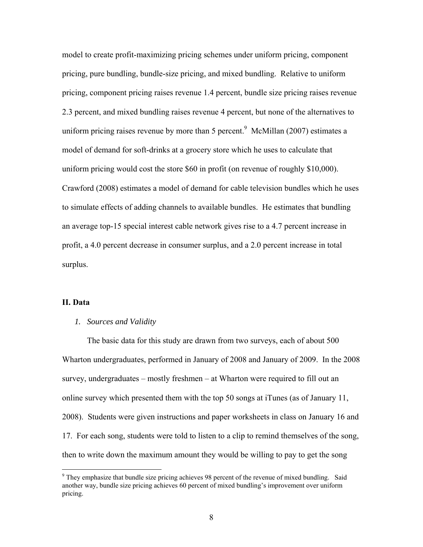model to create profit-maximizing pricing schemes under uniform pricing, component pricing, pure bundling, bundle-size pricing, and mixed bundling. Relative to uniform pricing, component pricing raises revenue 1.4 percent, bundle size pricing raises revenue 2.3 percent, and mixed bundling raises revenue 4 percent, but none of the alternatives to uniform pricing raises revenue by more than 5 percent. $9$  McMillan (2007) estimates a model of demand for soft-drinks at a grocery store which he uses to calculate that uniform pricing would cost the store \$60 in profit (on revenue of roughly \$10,000). Crawford (2008) estimates a model of demand for cable television bundles which he uses to simulate effects of adding channels to available bundles. He estimates that bundling an average top-15 special interest cable network gives rise to a 4.7 percent increase in profit, a 4.0 percent decrease in consumer surplus, and a 2.0 percent increase in total surplus.

## **II. Data**

 $\overline{a}$ 

## *1. Sources and Validity*

The basic data for this study are drawn from two surveys, each of about 500 Wharton undergraduates, performed in January of 2008 and January of 2009. In the 2008 survey, undergraduates – mostly freshmen – at Wharton were required to fill out an online survey which presented them with the top 50 songs at iTunes (as of January 11, 2008). Students were given instructions and paper worksheets in class on January 16 and 17. For each song, students were told to listen to a clip to remind themselves of the song, then to write down the maximum amount they would be willing to pay to get the song

<sup>&</sup>lt;sup>9</sup> They emphasize that bundle size pricing achieves 98 percent of the revenue of mixed bundling. Said another way, bundle size pricing achieves 60 percent of mixed bundling's improvement over uniform pricing.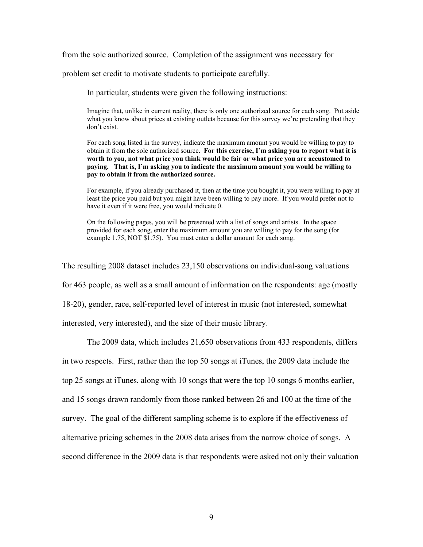from the sole authorized source. Completion of the assignment was necessary for

problem set credit to motivate students to participate carefully.

In particular, students were given the following instructions:

Imagine that, unlike in current reality, there is only one authorized source for each song. Put aside what you know about prices at existing outlets because for this survey we're pretending that they don't exist.

For each song listed in the survey, indicate the maximum amount you would be willing to pay to obtain it from the sole authorized source. **For this exercise, I'm asking you to report what it is worth to you, not what price you think would be fair or what price you are accustomed to paying. That is, I'm asking you to indicate the maximum amount you would be willing to pay to obtain it from the authorized source.** 

For example, if you already purchased it, then at the time you bought it, you were willing to pay at least the price you paid but you might have been willing to pay more. If you would prefer not to have it even if it were free, you would indicate 0.

On the following pages, you will be presented with a list of songs and artists. In the space provided for each song, enter the maximum amount you are willing to pay for the song (for example 1.75, NOT \$1.75). You must enter a dollar amount for each song.

The resulting 2008 dataset includes 23,150 observations on individual-song valuations for 463 people, as well as a small amount of information on the respondents: age (mostly 18-20), gender, race, self-reported level of interest in music (not interested, somewhat interested, very interested), and the size of their music library.

The 2009 data, which includes 21,650 observations from 433 respondents, differs in two respects. First, rather than the top 50 songs at iTunes, the 2009 data include the top 25 songs at iTunes, along with 10 songs that were the top 10 songs 6 months earlier, and 15 songs drawn randomly from those ranked between 26 and 100 at the time of the survey. The goal of the different sampling scheme is to explore if the effectiveness of alternative pricing schemes in the 2008 data arises from the narrow choice of songs. A second difference in the 2009 data is that respondents were asked not only their valuation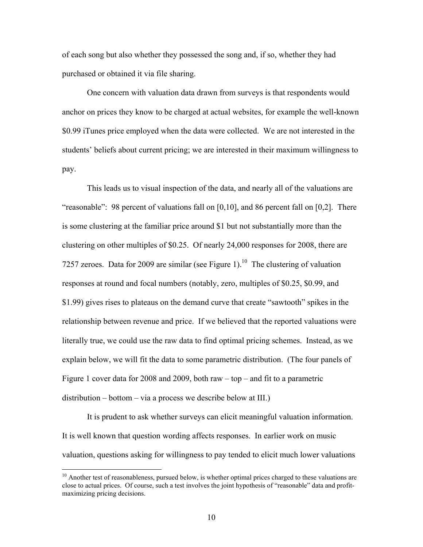of each song but also whether they possessed the song and, if so, whether they had purchased or obtained it via file sharing.

 One concern with valuation data drawn from surveys is that respondents would anchor on prices they know to be charged at actual websites, for example the well-known \$0.99 iTunes price employed when the data were collected. We are not interested in the students' beliefs about current pricing; we are interested in their maximum willingness to pay.

This leads us to visual inspection of the data, and nearly all of the valuations are "reasonable": 98 percent of valuations fall on [0,10], and 86 percent fall on [0,2]. There is some clustering at the familiar price around \$1 but not substantially more than the clustering on other multiples of \$0.25. Of nearly 24,000 responses for 2008, there are 7257 zeroes. Data for 2009 are similar (see Figure 1).<sup>10</sup> The clustering of valuation responses at round and focal numbers (notably, zero, multiples of \$0.25, \$0.99, and \$1.99) gives rises to plateaus on the demand curve that create "sawtooth" spikes in the relationship between revenue and price. If we believed that the reported valuations were literally true, we could use the raw data to find optimal pricing schemes. Instead, as we explain below, we will fit the data to some parametric distribution. (The four panels of Figure 1 cover data for 2008 and 2009, both raw – top – and fit to a parametric distribution – bottom – via a process we describe below at III.)

 It is prudent to ask whether surveys can elicit meaningful valuation information. It is well known that question wording affects responses. In earlier work on music valuation, questions asking for willingness to pay tended to elicit much lower valuations

 $\overline{a}$ 

<sup>&</sup>lt;sup>10</sup> Another test of reasonableness, pursued below, is whether optimal prices charged to these valuations are close to actual prices. Of course, such a test involves the joint hypothesis of "reasonable" data and profitmaximizing pricing decisions.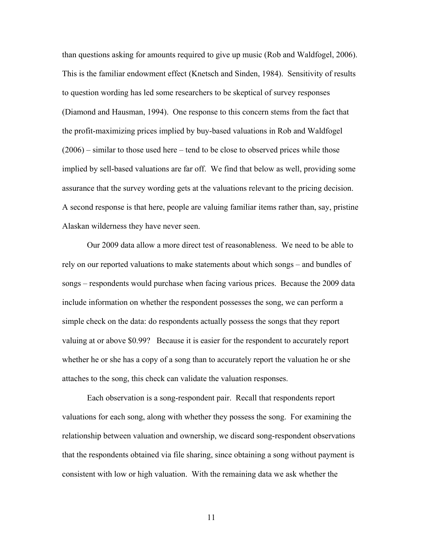than questions asking for amounts required to give up music (Rob and Waldfogel, 2006). This is the familiar endowment effect (Knetsch and Sinden, 1984). Sensitivity of results to question wording has led some researchers to be skeptical of survey responses (Diamond and Hausman, 1994). One response to this concern stems from the fact that the profit-maximizing prices implied by buy-based valuations in Rob and Waldfogel (2006) – similar to those used here – tend to be close to observed prices while those implied by sell-based valuations are far off. We find that below as well, providing some assurance that the survey wording gets at the valuations relevant to the pricing decision. A second response is that here, people are valuing familiar items rather than, say, pristine Alaskan wilderness they have never seen.

Our 2009 data allow a more direct test of reasonableness. We need to be able to rely on our reported valuations to make statements about which songs – and bundles of songs – respondents would purchase when facing various prices. Because the 2009 data include information on whether the respondent possesses the song, we can perform a simple check on the data: do respondents actually possess the songs that they report valuing at or above \$0.99? Because it is easier for the respondent to accurately report whether he or she has a copy of a song than to accurately report the valuation he or she attaches to the song, this check can validate the valuation responses.

Each observation is a song-respondent pair. Recall that respondents report valuations for each song, along with whether they possess the song. For examining the relationship between valuation and ownership, we discard song-respondent observations that the respondents obtained via file sharing, since obtaining a song without payment is consistent with low or high valuation. With the remaining data we ask whether the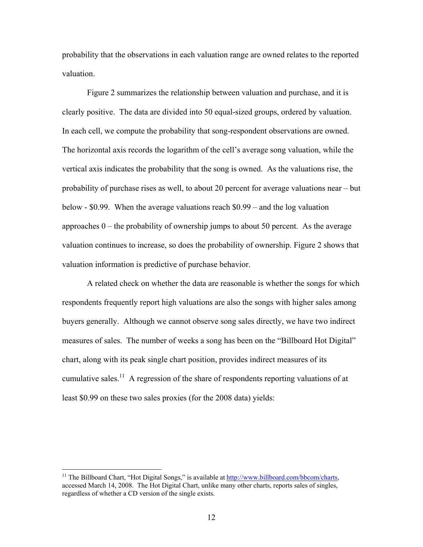probability that the observations in each valuation range are owned relates to the reported valuation.

Figure 2 summarizes the relationship between valuation and purchase, and it is clearly positive. The data are divided into 50 equal-sized groups, ordered by valuation. In each cell, we compute the probability that song-respondent observations are owned. The horizontal axis records the logarithm of the cell's average song valuation, while the vertical axis indicates the probability that the song is owned. As the valuations rise, the probability of purchase rises as well, to about 20 percent for average valuations near – but below - \$0.99. When the average valuations reach \$0.99 – and the log valuation approaches  $0$  – the probability of ownership jumps to about 50 percent. As the average valuation continues to increase, so does the probability of ownership. Figure 2 shows that valuation information is predictive of purchase behavior.

A related check on whether the data are reasonable is whether the songs for which respondents frequently report high valuations are also the songs with higher sales among buyers generally. Although we cannot observe song sales directly, we have two indirect measures of sales. The number of weeks a song has been on the "Billboard Hot Digital" chart, along with its peak single chart position, provides indirect measures of its cumulative sales.<sup>11</sup> A regression of the share of respondents reporting valuations of at least \$0.99 on these two sales proxies (for the 2008 data) yields:

 $\overline{a}$ 

<sup>&</sup>lt;sup>11</sup> The Billboard Chart, "Hot Digital Songs," is available at http://www.billboard.com/bbcom/charts, accessed March 14, 2008. The Hot Digital Chart, unlike many other charts, reports sales of singles, regardless of whether a CD version of the single exists.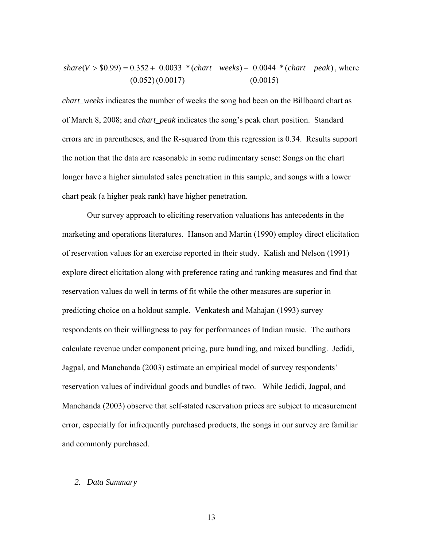$$
share(V > $0.99) = 0.352 + 0.0033 * (chart\_ weeks) - 0.0044 * (chart\_peak), where
$$
  
(0.052)(0.0017) (0.0015)

*chart\_weeks* indicates the number of weeks the song had been on the Billboard chart as of March 8, 2008; and *chart\_peak* indicates the song's peak chart position. Standard errors are in parentheses, and the R-squared from this regression is 0.34. Results support the notion that the data are reasonable in some rudimentary sense: Songs on the chart longer have a higher simulated sales penetration in this sample, and songs with a lower chart peak (a higher peak rank) have higher penetration.

Our survey approach to eliciting reservation valuations has antecedents in the marketing and operations literatures. Hanson and Martin (1990) employ direct elicitation of reservation values for an exercise reported in their study. Kalish and Nelson (1991) explore direct elicitation along with preference rating and ranking measures and find that reservation values do well in terms of fit while the other measures are superior in predicting choice on a holdout sample. Venkatesh and Mahajan (1993) survey respondents on their willingness to pay for performances of Indian music. The authors calculate revenue under component pricing, pure bundling, and mixed bundling. Jedidi, Jagpal, and Manchanda (2003) estimate an empirical model of survey respondents' reservation values of individual goods and bundles of two. While Jedidi, Jagpal, and Manchanda (2003) observe that self-stated reservation prices are subject to measurement error, especially for infrequently purchased products, the songs in our survey are familiar and commonly purchased.

## *2. Data Summary*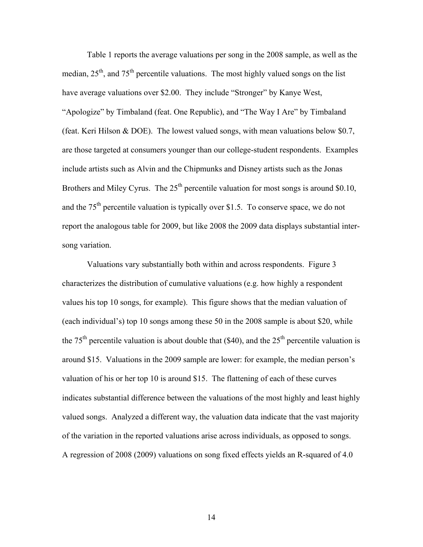Table 1 reports the average valuations per song in the 2008 sample, as well as the median,  $25<sup>th</sup>$ , and  $75<sup>th</sup>$  percentile valuations. The most highly valued songs on the list have average valuations over \$2.00. They include "Stronger" by Kanye West, "Apologize" by Timbaland (feat. One Republic), and "The Way I Are" by Timbaland (feat. Keri Hilson & DOE). The lowest valued songs, with mean valuations below \$0.7, are those targeted at consumers younger than our college-student respondents. Examples include artists such as Alvin and the Chipmunks and Disney artists such as the Jonas Brothers and Miley Cyrus. The  $25<sup>th</sup>$  percentile valuation for most songs is around \$0.10, and the  $75<sup>th</sup>$  percentile valuation is typically over \$1.5. To conserve space, we do not report the analogous table for 2009, but like 2008 the 2009 data displays substantial intersong variation.

 Valuations vary substantially both within and across respondents. Figure 3 characterizes the distribution of cumulative valuations (e.g. how highly a respondent values his top 10 songs, for example). This figure shows that the median valuation of (each individual's) top 10 songs among these 50 in the 2008 sample is about \$20, while the 75<sup>th</sup> percentile valuation is about double that (\$40), and the  $25<sup>th</sup>$  percentile valuation is around \$15. Valuations in the 2009 sample are lower: for example, the median person's valuation of his or her top 10 is around \$15. The flattening of each of these curves indicates substantial difference between the valuations of the most highly and least highly valued songs. Analyzed a different way, the valuation data indicate that the vast majority of the variation in the reported valuations arise across individuals, as opposed to songs. A regression of 2008 (2009) valuations on song fixed effects yields an R-squared of 4.0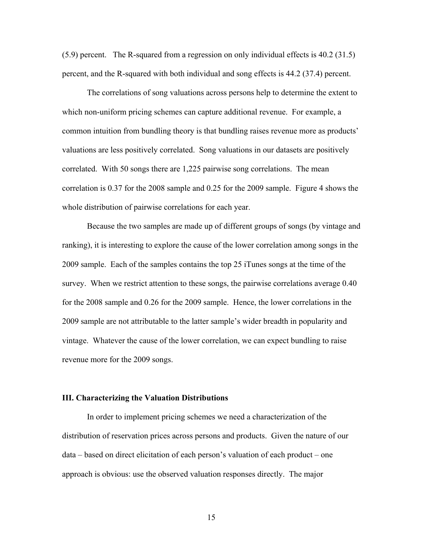(5.9) percent. The R-squared from a regression on only individual effects is 40.2 (31.5) percent, and the R-squared with both individual and song effects is 44.2 (37.4) percent.

The correlations of song valuations across persons help to determine the extent to which non-uniform pricing schemes can capture additional revenue. For example, a common intuition from bundling theory is that bundling raises revenue more as products' valuations are less positively correlated. Song valuations in our datasets are positively correlated. With 50 songs there are 1,225 pairwise song correlations. The mean correlation is 0.37 for the 2008 sample and 0.25 for the 2009 sample. Figure 4 shows the whole distribution of pairwise correlations for each year.

Because the two samples are made up of different groups of songs (by vintage and ranking), it is interesting to explore the cause of the lower correlation among songs in the 2009 sample. Each of the samples contains the top 25 iTunes songs at the time of the survey. When we restrict attention to these songs, the pairwise correlations average 0.40 for the 2008 sample and 0.26 for the 2009 sample. Hence, the lower correlations in the 2009 sample are not attributable to the latter sample's wider breadth in popularity and vintage. Whatever the cause of the lower correlation, we can expect bundling to raise revenue more for the 2009 songs.

#### **III. Characterizing the Valuation Distributions**

 In order to implement pricing schemes we need a characterization of the distribution of reservation prices across persons and products. Given the nature of our data – based on direct elicitation of each person's valuation of each product – one approach is obvious: use the observed valuation responses directly. The major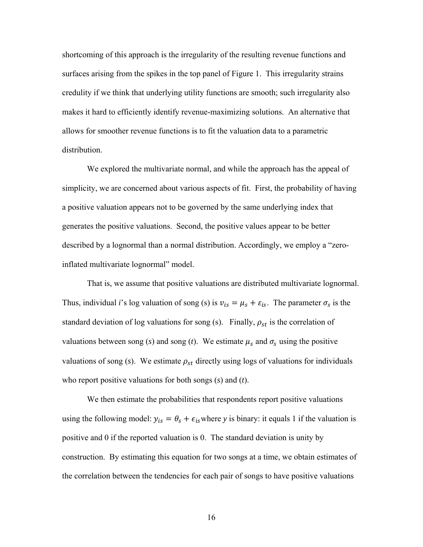shortcoming of this approach is the irregularity of the resulting revenue functions and surfaces arising from the spikes in the top panel of Figure 1. This irregularity strains credulity if we think that underlying utility functions are smooth; such irregularity also makes it hard to efficiently identify revenue-maximizing solutions. An alternative that allows for smoother revenue functions is to fit the valuation data to a parametric distribution.

We explored the multivariate normal, and while the approach has the appeal of simplicity, we are concerned about various aspects of fit. First, the probability of having a positive valuation appears not to be governed by the same underlying index that generates the positive valuations. Second, the positive values appear to be better described by a lognormal than a normal distribution. Accordingly, we employ a "zeroinflated multivariate lognormal" model.

That is, we assume that positive valuations are distributed multivariate lognormal. Thus, individual *i*'s log valuation of song (s) is  $v_{is} = \mu_s + \varepsilon_{is}$ . The parameter  $\sigma_s$  is the standard deviation of log valuations for song (s). Finally,  $\rho_{st}$  is the correlation of valuations between song (*s*) and song (*t*). We estimate  $\mu_s$  and  $\sigma_s$  using the positive valuations of song  $(s)$ . We estimate  $\rho_{st}$  directly using logs of valuations for individuals who report positive valuations for both songs (*s*) and (*t*).

We then estimate the probabilities that respondents report positive valuations using the following model:  $y_{is} = \theta_s + \epsilon_{is}$  where *y* is binary: it equals 1 if the valuation is positive and 0 if the reported valuation is 0. The standard deviation is unity by construction. By estimating this equation for two songs at a time, we obtain estimates of the correlation between the tendencies for each pair of songs to have positive valuations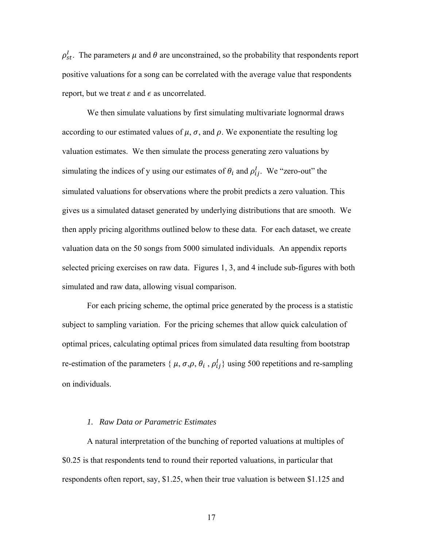$\rho_{st}^l$ . The parameters  $\mu$  and  $\theta$  are unconstrained, so the probability that respondents report positive valuations for a song can be correlated with the average value that respondents report, but we treat  $\varepsilon$  and  $\epsilon$  as uncorrelated.

We then simulate valuations by first simulating multivariate lognormal draws according to our estimated values of  $\mu$ ,  $\sigma$ , and  $\rho$ . We exponentiate the resulting log valuation estimates. We then simulate the process generating zero valuations by simulating the indices of y using our estimates of  $\theta_i$  and  $\rho_{ij}^l$ . We "zero-out" the simulated valuations for observations where the probit predicts a zero valuation. This gives us a simulated dataset generated by underlying distributions that are smooth. We then apply pricing algorithms outlined below to these data. For each dataset, we create valuation data on the 50 songs from 5000 simulated individuals. An appendix reports selected pricing exercises on raw data. Figures 1, 3, and 4 include sub-figures with both simulated and raw data, allowing visual comparison.

For each pricing scheme, the optimal price generated by the process is a statistic subject to sampling variation. For the pricing schemes that allow quick calculation of optimal prices, calculating optimal prices from simulated data resulting from bootstrap re-estimation of the parameters { $\mu$ ,  $\sigma$ , $\rho$ ,  $\theta$ <sub>i</sub>,  $\rho$ <sup>1</sup><sub>i</sub>} using 500 repetitions and re-sampling on individuals.

#### *1. Raw Data or Parametric Estimates*

A natural interpretation of the bunching of reported valuations at multiples of \$0.25 is that respondents tend to round their reported valuations, in particular that respondents often report, say, \$1.25, when their true valuation is between \$1.125 and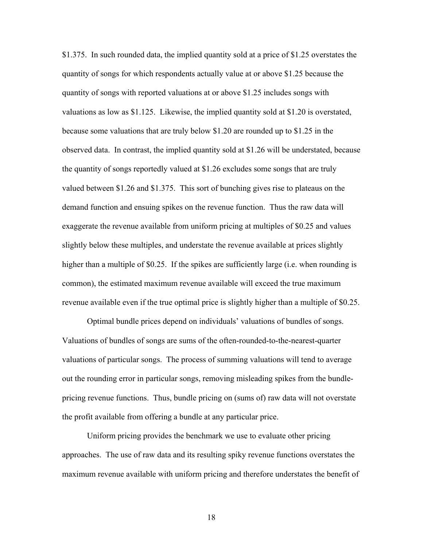\$1.375. In such rounded data, the implied quantity sold at a price of \$1.25 overstates the quantity of songs for which respondents actually value at or above \$1.25 because the quantity of songs with reported valuations at or above \$1.25 includes songs with valuations as low as \$1.125. Likewise, the implied quantity sold at \$1.20 is overstated, because some valuations that are truly below \$1.20 are rounded up to \$1.25 in the observed data. In contrast, the implied quantity sold at \$1.26 will be understated, because the quantity of songs reportedly valued at \$1.26 excludes some songs that are truly valued between \$1.26 and \$1.375. This sort of bunching gives rise to plateaus on the demand function and ensuing spikes on the revenue function. Thus the raw data will exaggerate the revenue available from uniform pricing at multiples of \$0.25 and values slightly below these multiples, and understate the revenue available at prices slightly higher than a multiple of \$0.25. If the spikes are sufficiently large (i.e. when rounding is common), the estimated maximum revenue available will exceed the true maximum revenue available even if the true optimal price is slightly higher than a multiple of \$0.25.

 Optimal bundle prices depend on individuals' valuations of bundles of songs. Valuations of bundles of songs are sums of the often-rounded-to-the-nearest-quarter valuations of particular songs. The process of summing valuations will tend to average out the rounding error in particular songs, removing misleading spikes from the bundlepricing revenue functions. Thus, bundle pricing on (sums of) raw data will not overstate the profit available from offering a bundle at any particular price.

 Uniform pricing provides the benchmark we use to evaluate other pricing approaches. The use of raw data and its resulting spiky revenue functions overstates the maximum revenue available with uniform pricing and therefore understates the benefit of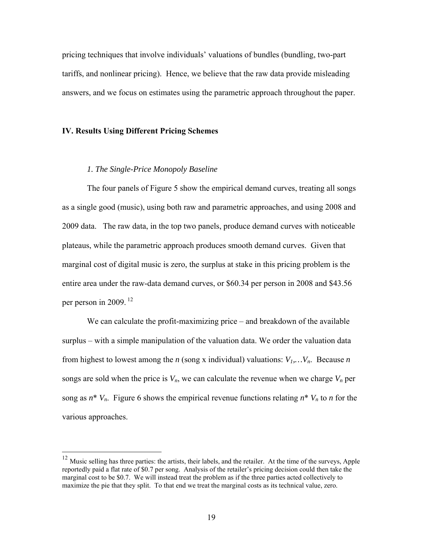pricing techniques that involve individuals' valuations of bundles (bundling, two-part tariffs, and nonlinear pricing). Hence, we believe that the raw data provide misleading answers, and we focus on estimates using the parametric approach throughout the paper.

## **IV. Results Using Different Pricing Schemes**

 $\overline{a}$ 

## *1. The Single-Price Monopoly Baseline*

 The four panels of Figure 5 show the empirical demand curves, treating all songs as a single good (music), using both raw and parametric approaches, and using 2008 and 2009 data. The raw data, in the top two panels, produce demand curves with noticeable plateaus, while the parametric approach produces smooth demand curves. Given that marginal cost of digital music is zero, the surplus at stake in this pricing problem is the entire area under the raw-data demand curves, or \$60.34 per person in 2008 and \$43.56 per person in 2009.  $12$ 

We can calculate the profit-maximizing price – and breakdown of the available surplus – with a simple manipulation of the valuation data. We order the valuation data from highest to lowest among the *n* (song x individual) valuations:  $V_1, \ldots, V_n$ . Because *n* songs are sold when the price is  $V_n$ , we can calculate the revenue when we charge  $V_n$  per song as  $n^*$   $V_n$ . Figure 6 shows the empirical revenue functions relating  $n^*$   $V_n$  to *n* for the various approaches.

 $12$  Music selling has three parties: the artists, their labels, and the retailer. At the time of the surveys, Apple reportedly paid a flat rate of \$0.7 per song. Analysis of the retailer's pricing decision could then take the marginal cost to be \$0.7. We will instead treat the problem as if the three parties acted collectively to maximize the pie that they split. To that end we treat the marginal costs as its technical value, zero.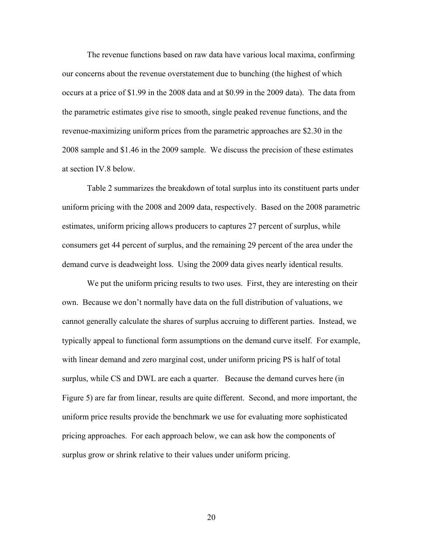The revenue functions based on raw data have various local maxima, confirming our concerns about the revenue overstatement due to bunching (the highest of which occurs at a price of \$1.99 in the 2008 data and at \$0.99 in the 2009 data). The data from the parametric estimates give rise to smooth, single peaked revenue functions, and the revenue-maximizing uniform prices from the parametric approaches are \$2.30 in the 2008 sample and \$1.46 in the 2009 sample. We discuss the precision of these estimates at section IV.8 below.

Table 2 summarizes the breakdown of total surplus into its constituent parts under uniform pricing with the 2008 and 2009 data, respectively. Based on the 2008 parametric estimates, uniform pricing allows producers to captures 27 percent of surplus, while consumers get 44 percent of surplus, and the remaining 29 percent of the area under the demand curve is deadweight loss. Using the 2009 data gives nearly identical results.

 We put the uniform pricing results to two uses. First, they are interesting on their own. Because we don't normally have data on the full distribution of valuations, we cannot generally calculate the shares of surplus accruing to different parties. Instead, we typically appeal to functional form assumptions on the demand curve itself. For example, with linear demand and zero marginal cost, under uniform pricing PS is half of total surplus, while CS and DWL are each a quarter. Because the demand curves here (in Figure 5) are far from linear, results are quite different. Second, and more important, the uniform price results provide the benchmark we use for evaluating more sophisticated pricing approaches. For each approach below, we can ask how the components of surplus grow or shrink relative to their values under uniform pricing.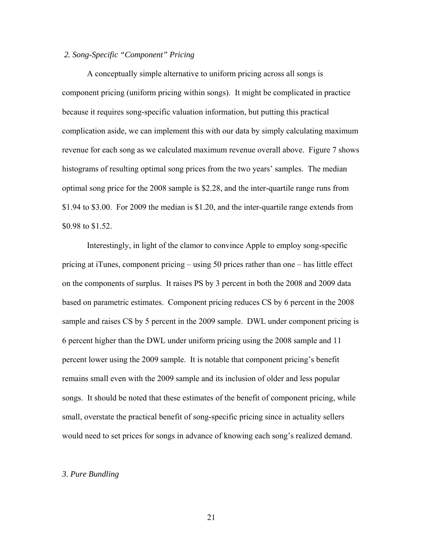## *2. Song-Specific "Component" Pricing*

 A conceptually simple alternative to uniform pricing across all songs is component pricing (uniform pricing within songs). It might be complicated in practice because it requires song-specific valuation information, but putting this practical complication aside, we can implement this with our data by simply calculating maximum revenue for each song as we calculated maximum revenue overall above. Figure 7 shows histograms of resulting optimal song prices from the two years' samples. The median optimal song price for the 2008 sample is \$2.28, and the inter-quartile range runs from \$1.94 to \$3.00. For 2009 the median is \$1.20, and the inter-quartile range extends from \$0.98 to \$1.52.

 Interestingly, in light of the clamor to convince Apple to employ song-specific pricing at iTunes, component pricing – using 50 prices rather than one – has little effect on the components of surplus. It raises PS by 3 percent in both the 2008 and 2009 data based on parametric estimates. Component pricing reduces CS by 6 percent in the 2008 sample and raises CS by 5 percent in the 2009 sample. DWL under component pricing is 6 percent higher than the DWL under uniform pricing using the 2008 sample and 11 percent lower using the 2009 sample. It is notable that component pricing's benefit remains small even with the 2009 sample and its inclusion of older and less popular songs. It should be noted that these estimates of the benefit of component pricing, while small, overstate the practical benefit of song-specific pricing since in actuality sellers would need to set prices for songs in advance of knowing each song's realized demand.

#### *3. Pure Bundling*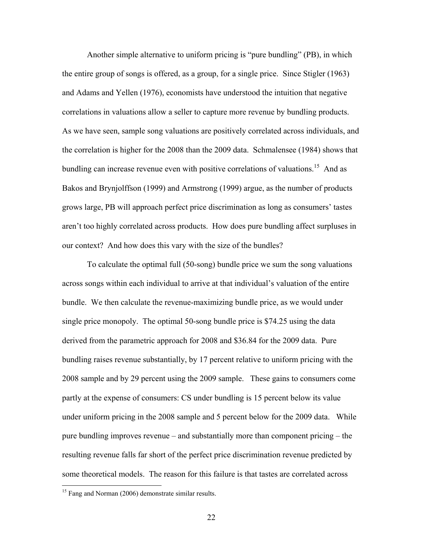Another simple alternative to uniform pricing is "pure bundling" (PB), in which the entire group of songs is offered, as a group, for a single price. Since Stigler (1963) and Adams and Yellen (1976), economists have understood the intuition that negative correlations in valuations allow a seller to capture more revenue by bundling products. As we have seen, sample song valuations are positively correlated across individuals, and the correlation is higher for the 2008 than the 2009 data. Schmalensee (1984) shows that bundling can increase revenue even with positive correlations of valuations.<sup>15</sup> And as Bakos and Brynjolffson (1999) and Armstrong (1999) argue, as the number of products grows large, PB will approach perfect price discrimination as long as consumers' tastes aren't too highly correlated across products. How does pure bundling affect surpluses in our context? And how does this vary with the size of the bundles?

 To calculate the optimal full (50-song) bundle price we sum the song valuations across songs within each individual to arrive at that individual's valuation of the entire bundle. We then calculate the revenue-maximizing bundle price, as we would under single price monopoly. The optimal 50-song bundle price is \$74.25 using the data derived from the parametric approach for 2008 and \$36.84 for the 2009 data. Pure bundling raises revenue substantially, by 17 percent relative to uniform pricing with the 2008 sample and by 29 percent using the 2009 sample. These gains to consumers come partly at the expense of consumers: CS under bundling is 15 percent below its value under uniform pricing in the 2008 sample and 5 percent below for the 2009 data. While pure bundling improves revenue – and substantially more than component pricing – the resulting revenue falls far short of the perfect price discrimination revenue predicted by some theoretical models. The reason for this failure is that tastes are correlated across

 $\overline{a}$ 

<sup>&</sup>lt;sup>15</sup> Fang and Norman (2006) demonstrate similar results.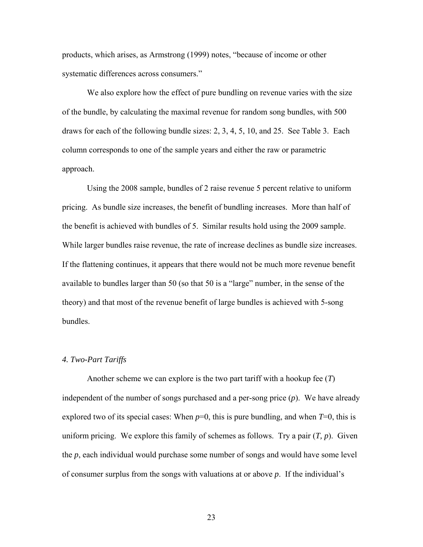products, which arises, as Armstrong (1999) notes, "because of income or other systematic differences across consumers."

 We also explore how the effect of pure bundling on revenue varies with the size of the bundle, by calculating the maximal revenue for random song bundles, with 500 draws for each of the following bundle sizes: 2, 3, 4, 5, 10, and 25. See Table 3. Each column corresponds to one of the sample years and either the raw or parametric approach.

 Using the 2008 sample, bundles of 2 raise revenue 5 percent relative to uniform pricing. As bundle size increases, the benefit of bundling increases. More than half of the benefit is achieved with bundles of 5. Similar results hold using the 2009 sample. While larger bundles raise revenue, the rate of increase declines as bundle size increases. If the flattening continues, it appears that there would not be much more revenue benefit available to bundles larger than 50 (so that 50 is a "large" number, in the sense of the theory) and that most of the revenue benefit of large bundles is achieved with 5-song bundles.

#### *4. Two-Part Tariffs*

 Another scheme we can explore is the two part tariff with a hookup fee (*T*) independent of the number of songs purchased and a per-song price (*p*). We have already explored two of its special cases: When  $p=0$ , this is pure bundling, and when  $T=0$ , this is uniform pricing. We explore this family of schemes as follows. Try a pair  $(T, p)$ . Given the *p*, each individual would purchase some number of songs and would have some level of consumer surplus from the songs with valuations at or above *p*. If the individual's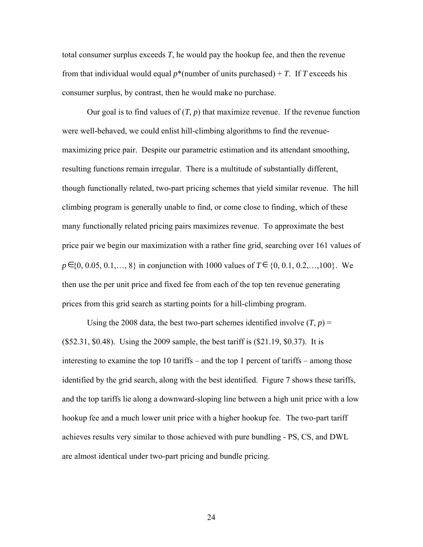total consumer surplus exceeds *T*, he would pay the hookup fee, and then the revenue from that individual would equal  $p^*$ (number of units purchased) + *T*. If *T* exceeds his consumer surplus, by contrast, then he would make no purchase.

Our goal is to find values of  $(T, p)$  that maximize revenue. If the revenue function were well-behaved, we could enlist hill-climbing algorithms to find the revenuemaximizing price pair. Despite our parametric estimation and its attendant smoothing, resulting functions remain irregular. There is a multitude of substantially different, though functionally related, two-part pricing schemes that yield similar revenue. The hill climbing program is generally unable to find, or come close to finding, which of these many functionally related pricing pairs maximizes revenue. To approximate the best price pair we begin our maximization with a rather fine grid, searching over 161 values of  $p \in \{0, 0.05, 0.1, \ldots, 8\}$  in conjunction with 1000 values of  $T \in \{0, 0.1, 0.2, \ldots, 100\}$ . We then use the per unit price and fixed fee from each of the top ten revenue generating prices from this grid search as starting points for a hill-climbing program.

Using the 2008 data, the best two-part schemes identified involve  $(T, p)$  = (\$52.31, \$0.48). Using the 2009 sample, the best tariff is (\$21.19, \$0.37). It is interesting to examine the top 10 tariffs – and the top 1 percent of tariffs – among those identified by the grid search, along with the best identified. Figure 7 shows these tariffs, and the top tariffs lie along a downward-sloping line between a high unit price with a low hookup fee and a much lower unit price with a higher hookup fee. The two-part tariff achieves results very similar to those achieved with pure bundling - PS, CS, and DWL are almost identical under two-part pricing and bundle pricing.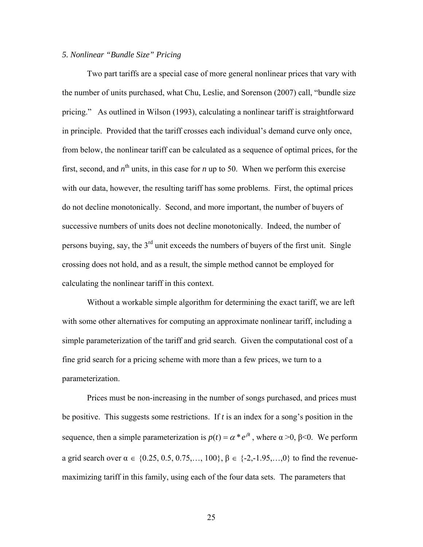## *5. Nonlinear "Bundle Size" Pricing*

Two part tariffs are a special case of more general nonlinear prices that vary with the number of units purchased, what Chu, Leslie, and Sorenson (2007) call, "bundle size pricing." As outlined in Wilson (1993), calculating a nonlinear tariff is straightforward in principle. Provided that the tariff crosses each individual's demand curve only once, from below, the nonlinear tariff can be calculated as a sequence of optimal prices, for the first, second, and  $n^{\text{th}}$  units, in this case for  $n$  up to 50. When we perform this exercise with our data, however, the resulting tariff has some problems. First, the optimal prices do not decline monotonically. Second, and more important, the number of buyers of successive numbers of units does not decline monotonically. Indeed, the number of persons buying, say, the  $3<sup>rd</sup>$  unit exceeds the numbers of buyers of the first unit. Single crossing does not hold, and as a result, the simple method cannot be employed for calculating the nonlinear tariff in this context.

Without a workable simple algorithm for determining the exact tariff, we are left with some other alternatives for computing an approximate nonlinear tariff, including a simple parameterization of the tariff and grid search. Given the computational cost of a fine grid search for a pricing scheme with more than a few prices, we turn to a parameterization.

Prices must be non-increasing in the number of songs purchased, and prices must be positive. This suggests some restrictions. If *t* is an index for a song's position in the sequence, then a simple parameterization is  $p(t) = \alpha * e^{\beta t}$ , where  $\alpha > 0$ ,  $\beta < 0$ . We perform a grid search over  $\alpha \in \{0.25, 0.5, 0.75, \ldots, 100\}, \beta \in \{-2, -1.95, \ldots, 0\}$  to find the revenuemaximizing tariff in this family, using each of the four data sets. The parameters that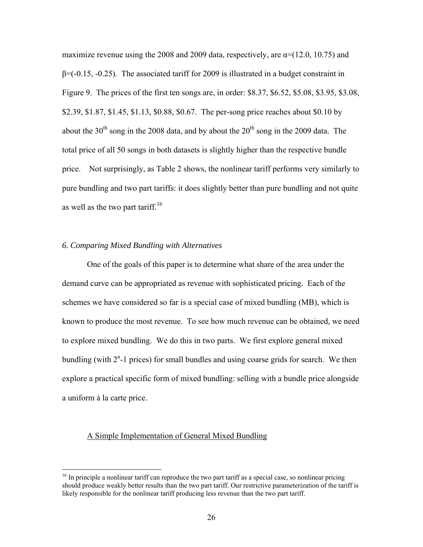maximize revenue using the 2008 and 2009 data, respectively, are  $\alpha$ =(12.0, 10.75) and  $\beta$ =(-0.15, -0.25). The associated tariff for 2009 is illustrated in a budget constraint in Figure 9. The prices of the first ten songs are, in order: \$8.37, \$6.52, \$5.08, \$3.95, \$3.08, \$2.39, \$1.87, \$1.45, \$1.13, \$0.88, \$0.67. The per-song price reaches about \$0.10 by about the  $30<sup>th</sup>$  song in the 2008 data, and by about the  $20<sup>th</sup>$  song in the 2009 data. The total price of all 50 songs in both datasets is slightly higher than the respective bundle price. Not surprisingly, as Table 2 shows, the nonlinear tariff performs very similarly to pure bundling and two part tariffs: it does slightly better than pure bundling and not quite as well as the two part tariff.<sup>16</sup>

## *6. Comparing Mixed Bundling with Alternatives*

One of the goals of this paper is to determine what share of the area under the demand curve can be appropriated as revenue with sophisticated pricing. Each of the schemes we have considered so far is a special case of mixed bundling (MB), which is known to produce the most revenue. To see how much revenue can be obtained, we need to explore mixed bundling. We do this in two parts. We first explore general mixed bundling (with  $2<sup>n</sup>$ -1 prices) for small bundles and using coarse grids for search. We then explore a practical specific form of mixed bundling: selling with a bundle price alongside a uniform à la carte price.

## A Simple Implementation of General Mixed Bundling

 $\overline{a}$ 

<sup>&</sup>lt;sup>16</sup> In principle a nonlinear tariff can reproduce the two part tariff as a special case, so nonlinear pricing should produce weakly better results than the two part tariff. Our restrictive parameterization of the tariff is likely responsible for the nonlinear tariff producing less revenue than the two part tariff.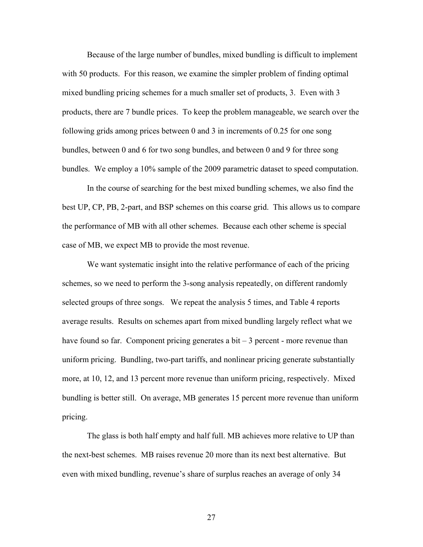Because of the large number of bundles, mixed bundling is difficult to implement with 50 products. For this reason, we examine the simpler problem of finding optimal mixed bundling pricing schemes for a much smaller set of products, 3. Even with 3 products, there are 7 bundle prices. To keep the problem manageable, we search over the following grids among prices between 0 and 3 in increments of 0.25 for one song bundles, between 0 and 6 for two song bundles, and between 0 and 9 for three song bundles. We employ a 10% sample of the 2009 parametric dataset to speed computation.

In the course of searching for the best mixed bundling schemes, we also find the best UP, CP, PB, 2-part, and BSP schemes on this coarse grid. This allows us to compare the performance of MB with all other schemes. Because each other scheme is special case of MB, we expect MB to provide the most revenue.

We want systematic insight into the relative performance of each of the pricing schemes, so we need to perform the 3-song analysis repeatedly, on different randomly selected groups of three songs. We repeat the analysis 5 times, and Table 4 reports average results. Results on schemes apart from mixed bundling largely reflect what we have found so far. Component pricing generates a bit  $-3$  percent - more revenue than uniform pricing. Bundling, two-part tariffs, and nonlinear pricing generate substantially more, at 10, 12, and 13 percent more revenue than uniform pricing, respectively. Mixed bundling is better still. On average, MB generates 15 percent more revenue than uniform pricing.

The glass is both half empty and half full. MB achieves more relative to UP than the next-best schemes. MB raises revenue 20 more than its next best alternative. But even with mixed bundling, revenue's share of surplus reaches an average of only 34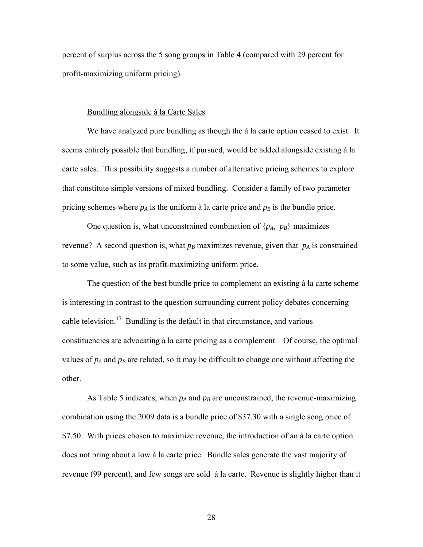percent of surplus across the 5 song groups in Table 4 (compared with 29 percent for profit-maximizing uniform pricing).

#### Bundling alongside à la Carte Sales

We have analyzed pure bundling as though the  $\dot{a}$  la carte option ceased to exist. It seems entirely possible that bundling, if pursued, would be added alongside existing à la carte sales. This possibility suggests a number of alternative pricing schemes to explore that constitute simple versions of mixed bundling. Consider a family of two parameter pricing schemes where  $p_A$  is the uniform à la carte price and  $p_B$  is the bundle price.

One question is, what unconstrained combination of  $\{p_A, p_B\}$  maximizes revenue? A second question is, what  $p_B$  maximizes revenue, given that  $p_A$  is constrained to some value, such as its profit-maximizing uniform price.

 The question of the best bundle price to complement an existing à la carte scheme is interesting in contrast to the question surrounding current policy debates concerning cable television.<sup>17</sup> Bundling is the default in that circumstance, and various constituencies are advocating à la carte pricing as a complement. Of course, the optimal values of  $p_A$  and  $p_B$  are related, so it may be difficult to change one without affecting the other.

As Table 5 indicates, when  $p_A$  and  $p_B$  are unconstrained, the revenue-maximizing combination using the 2009 data is a bundle price of \$37.30 with a single song price of \$7.50. With prices chosen to maximize revenue, the introduction of an à la carte option does not bring about a low à la carte price. Bundle sales generate the vast majority of revenue (99 percent), and few songs are sold à la carte. Revenue is slightly higher than it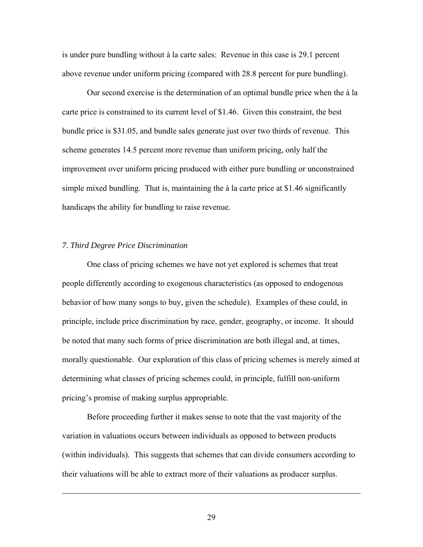is under pure bundling without à la carte sales: Revenue in this case is 29.1 percent above revenue under uniform pricing (compared with 28.8 percent for pure bundling).

Our second exercise is the determination of an optimal bundle price when the à la carte price is constrained to its current level of \$1.46. Given this constraint, the best bundle price is \$31.05, and bundle sales generate just over two thirds of revenue. This scheme generates 14.5 percent more revenue than uniform pricing, only half the improvement over uniform pricing produced with either pure bundling or unconstrained simple mixed bundling. That is, maintaining the à la carte price at \$1.46 significantly handicaps the ability for bundling to raise revenue.

## *7. Third Degree Price Discrimination*

1

One class of pricing schemes we have not yet explored is schemes that treat people differently according to exogenous characteristics (as opposed to endogenous behavior of how many songs to buy, given the schedule). Examples of these could, in principle, include price discrimination by race, gender, geography, or income. It should be noted that many such forms of price discrimination are both illegal and, at times, morally questionable. Our exploration of this class of pricing schemes is merely aimed at determining what classes of pricing schemes could, in principle, fulfill non-uniform pricing's promise of making surplus appropriable.

Before proceeding further it makes sense to note that the vast majority of the variation in valuations occurs between individuals as opposed to between products (within individuals). This suggests that schemes that can divide consumers according to their valuations will be able to extract more of their valuations as producer surplus.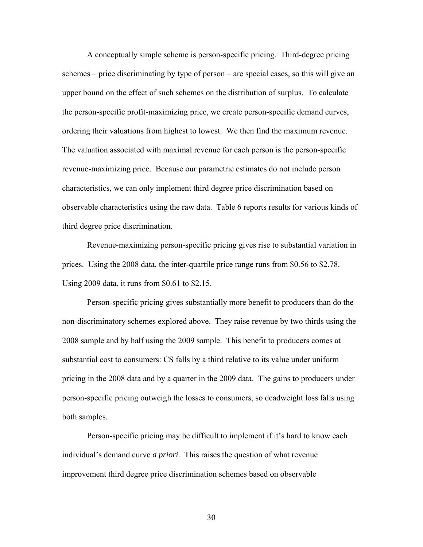A conceptually simple scheme is person-specific pricing. Third-degree pricing schemes – price discriminating by type of person – are special cases, so this will give an upper bound on the effect of such schemes on the distribution of surplus. To calculate the person-specific profit-maximizing price, we create person-specific demand curves, ordering their valuations from highest to lowest. We then find the maximum revenue. The valuation associated with maximal revenue for each person is the person-specific revenue-maximizing price. Because our parametric estimates do not include person characteristics, we can only implement third degree price discrimination based on observable characteristics using the raw data. Table 6 reports results for various kinds of third degree price discrimination.

Revenue-maximizing person-specific pricing gives rise to substantial variation in prices. Using the 2008 data, the inter-quartile price range runs from \$0.56 to \$2.78. Using 2009 data, it runs from \$0.61 to \$2.15.

Person-specific pricing gives substantially more benefit to producers than do the non-discriminatory schemes explored above. They raise revenue by two thirds using the 2008 sample and by half using the 2009 sample. This benefit to producers comes at substantial cost to consumers: CS falls by a third relative to its value under uniform pricing in the 2008 data and by a quarter in the 2009 data. The gains to producers under person-specific pricing outweigh the losses to consumers, so deadweight loss falls using both samples.

Person-specific pricing may be difficult to implement if it's hard to know each individual's demand curve *a priori*. This raises the question of what revenue improvement third degree price discrimination schemes based on observable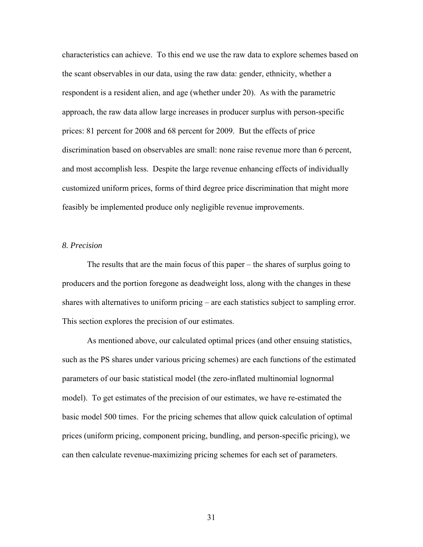characteristics can achieve. To this end we use the raw data to explore schemes based on the scant observables in our data, using the raw data: gender, ethnicity, whether a respondent is a resident alien, and age (whether under 20). As with the parametric approach, the raw data allow large increases in producer surplus with person-specific prices: 81 percent for 2008 and 68 percent for 2009. But the effects of price discrimination based on observables are small: none raise revenue more than 6 percent, and most accomplish less. Despite the large revenue enhancing effects of individually customized uniform prices, forms of third degree price discrimination that might more feasibly be implemented produce only negligible revenue improvements.

#### *8. Precision*

The results that are the main focus of this paper – the shares of surplus going to producers and the portion foregone as deadweight loss, along with the changes in these shares with alternatives to uniform pricing – are each statistics subject to sampling error. This section explores the precision of our estimates.

 As mentioned above, our calculated optimal prices (and other ensuing statistics, such as the PS shares under various pricing schemes) are each functions of the estimated parameters of our basic statistical model (the zero-inflated multinomial lognormal model). To get estimates of the precision of our estimates, we have re-estimated the basic model 500 times. For the pricing schemes that allow quick calculation of optimal prices (uniform pricing, component pricing, bundling, and person-specific pricing), we can then calculate revenue-maximizing pricing schemes for each set of parameters.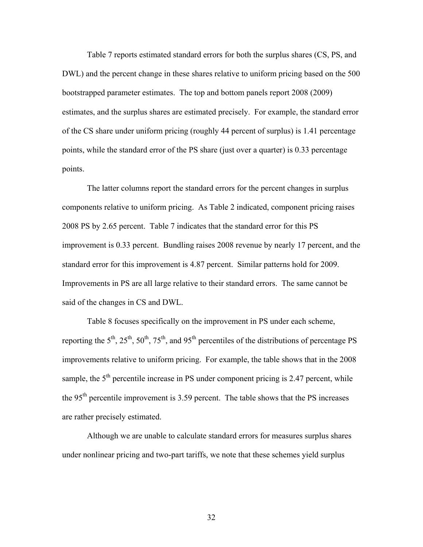Table 7 reports estimated standard errors for both the surplus shares (CS, PS, and DWL) and the percent change in these shares relative to uniform pricing based on the 500 bootstrapped parameter estimates. The top and bottom panels report 2008 (2009) estimates, and the surplus shares are estimated precisely. For example, the standard error of the CS share under uniform pricing (roughly 44 percent of surplus) is 1.41 percentage points, while the standard error of the PS share (just over a quarter) is 0.33 percentage points.

 The latter columns report the standard errors for the percent changes in surplus components relative to uniform pricing. As Table 2 indicated, component pricing raises 2008 PS by 2.65 percent. Table 7 indicates that the standard error for this PS improvement is 0.33 percent. Bundling raises 2008 revenue by nearly 17 percent, and the standard error for this improvement is 4.87 percent. Similar patterns hold for 2009. Improvements in PS are all large relative to their standard errors. The same cannot be said of the changes in CS and DWL.

 Table 8 focuses specifically on the improvement in PS under each scheme, reporting the  $5<sup>th</sup>$ ,  $25<sup>th</sup>$ ,  $50<sup>th</sup>$ ,  $75<sup>th</sup>$ , and  $95<sup>th</sup>$  percentiles of the distributions of percentage PS improvements relative to uniform pricing. For example, the table shows that in the 2008 sample, the  $5<sup>th</sup>$  percentile increase in PS under component pricing is 2.47 percent, while the 95th percentile improvement is 3.59 percent. The table shows that the PS increases are rather precisely estimated.

Although we are unable to calculate standard errors for measures surplus shares under nonlinear pricing and two-part tariffs, we note that these schemes yield surplus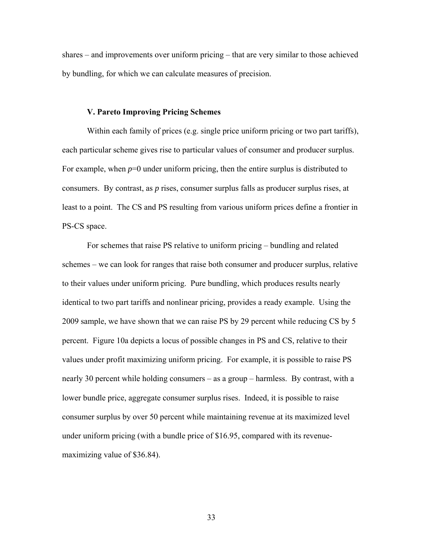shares – and improvements over uniform pricing – that are very similar to those achieved by bundling, for which we can calculate measures of precision.

## **V. Pareto Improving Pricing Schemes**

Within each family of prices (e.g. single price uniform pricing or two part tariffs), each particular scheme gives rise to particular values of consumer and producer surplus. For example, when  $p=0$  under uniform pricing, then the entire surplus is distributed to consumers. By contrast, as *p* rises, consumer surplus falls as producer surplus rises, at least to a point. The CS and PS resulting from various uniform prices define a frontier in PS-CS space.

For schemes that raise PS relative to uniform pricing – bundling and related schemes – we can look for ranges that raise both consumer and producer surplus, relative to their values under uniform pricing. Pure bundling, which produces results nearly identical to two part tariffs and nonlinear pricing, provides a ready example. Using the 2009 sample, we have shown that we can raise PS by 29 percent while reducing CS by 5 percent. Figure 10a depicts a locus of possible changes in PS and CS, relative to their values under profit maximizing uniform pricing. For example, it is possible to raise PS nearly 30 percent while holding consumers – as a group – harmless. By contrast, with a lower bundle price, aggregate consumer surplus rises. Indeed, it is possible to raise consumer surplus by over 50 percent while maintaining revenue at its maximized level under uniform pricing (with a bundle price of \$16.95, compared with its revenuemaximizing value of \$36.84).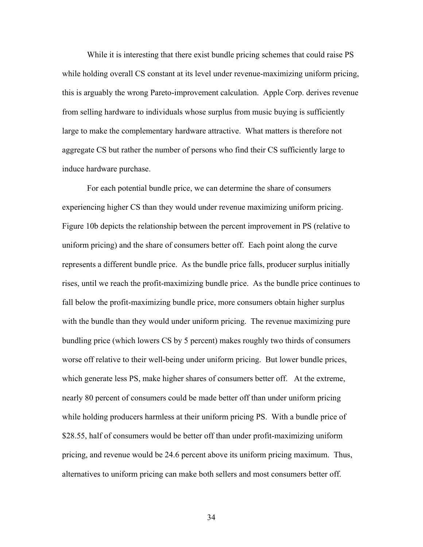While it is interesting that there exist bundle pricing schemes that could raise PS while holding overall CS constant at its level under revenue-maximizing uniform pricing, this is arguably the wrong Pareto-improvement calculation. Apple Corp. derives revenue from selling hardware to individuals whose surplus from music buying is sufficiently large to make the complementary hardware attractive. What matters is therefore not aggregate CS but rather the number of persons who find their CS sufficiently large to induce hardware purchase.

For each potential bundle price, we can determine the share of consumers experiencing higher CS than they would under revenue maximizing uniform pricing. Figure 10b depicts the relationship between the percent improvement in PS (relative to uniform pricing) and the share of consumers better off. Each point along the curve represents a different bundle price. As the bundle price falls, producer surplus initially rises, until we reach the profit-maximizing bundle price. As the bundle price continues to fall below the profit-maximizing bundle price, more consumers obtain higher surplus with the bundle than they would under uniform pricing. The revenue maximizing pure bundling price (which lowers CS by 5 percent) makes roughly two thirds of consumers worse off relative to their well-being under uniform pricing. But lower bundle prices, which generate less PS, make higher shares of consumers better off. At the extreme, nearly 80 percent of consumers could be made better off than under uniform pricing while holding producers harmless at their uniform pricing PS. With a bundle price of \$28.55, half of consumers would be better off than under profit-maximizing uniform pricing, and revenue would be 24.6 percent above its uniform pricing maximum. Thus, alternatives to uniform pricing can make both sellers and most consumers better off.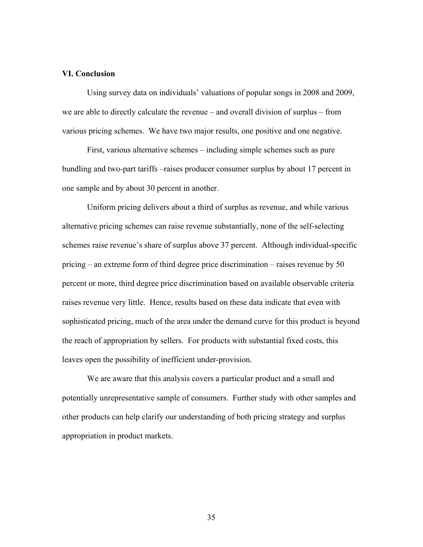## **VI. Conclusion**

 Using survey data on individuals' valuations of popular songs in 2008 and 2009, we are able to directly calculate the revenue – and overall division of surplus – from various pricing schemes. We have two major results, one positive and one negative.

 First, various alternative schemes – including simple schemes such as pure bundling and two-part tariffs –raises producer consumer surplus by about 17 percent in one sample and by about 30 percent in another.

Uniform pricing delivers about a third of surplus as revenue, and while various alternative pricing schemes can raise revenue substantially, none of the self-selecting schemes raise revenue's share of surplus above 37 percent. Although individual-specific pricing – an extreme form of third degree price discrimination – raises revenue by 50 percent or more, third degree price discrimination based on available observable criteria raises revenue very little. Hence, results based on these data indicate that even with sophisticated pricing, much of the area under the demand curve for this product is beyond the reach of appropriation by sellers. For products with substantial fixed costs, this leaves open the possibility of inefficient under-provision.

 We are aware that this analysis covers a particular product and a small and potentially unrepresentative sample of consumers. Further study with other samples and other products can help clarify our understanding of both pricing strategy and surplus appropriation in product markets.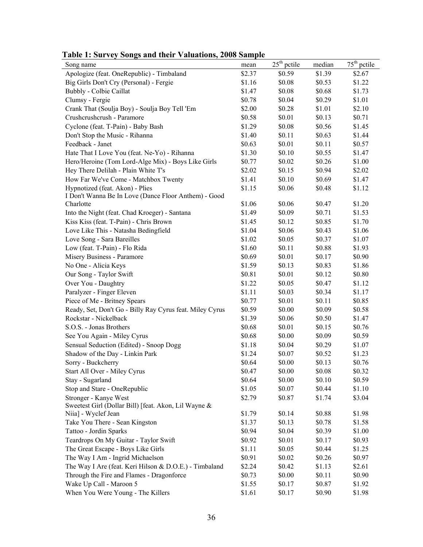| Song name                                                | mean   | $25th$ pctile | median | $75th$ pctile |
|----------------------------------------------------------|--------|---------------|--------|---------------|
| Apologize (feat. OneRepublic) - Timbaland                | \$2.37 | \$0.59        | \$1.39 | \$2.67        |
| Big Girls Don't Cry (Personal) - Fergie                  | \$1.16 | \$0.08        | \$0.53 | \$1.22        |
| Bubbly - Colbie Caillat                                  | \$1.47 | \$0.08        | \$0.68 | \$1.73        |
| Clumsy - Fergie                                          | \$0.78 | \$0.04        | \$0.29 | \$1.01        |
| Crank That (Soulja Boy) - Soulja Boy Tell 'Em            | \$2.00 | \$0.28        | \$1.01 | \$2.10        |
| Crushcrushcrush - Paramore                               | \$0.58 | \$0.01        | \$0.13 | \$0.71        |
| Cyclone (feat. T-Pain) - Baby Bash                       | \$1.29 | \$0.08        | \$0.56 | \$1.45        |
| Don't Stop the Music - Rihanna                           | \$1.40 | \$0.11        | \$0.63 | \$1.44        |
| Feedback - Janet                                         | \$0.63 | \$0.01        | \$0.11 | \$0.57        |
| Hate That I Love You (feat. Ne-Yo) - Rihanna             | \$1.30 | \$0.10        | \$0.55 | \$1.47        |
| Hero/Heroine (Tom Lord-Alge Mix) - Boys Like Girls       | \$0.77 | \$0.02        | \$0.26 | \$1.00        |
| Hey There Delilah - Plain White T's                      | \$2.02 | \$0.15        | \$0.94 | \$2.02        |
| How Far We've Come - Matchbox Twenty                     | \$1.41 | \$0.10        | \$0.69 | \$1.47        |
| Hypnotized (feat. Akon) - Plies                          | \$1.15 | \$0.06        | \$0.48 | \$1.12        |
| I Don't Wanna Be In Love (Dance Floor Anthem) - Good     |        |               |        |               |
| Charlotte                                                | \$1.06 | \$0.06        | \$0.47 | \$1.20        |
| Into the Night (feat. Chad Kroeger) - Santana            | \$1.49 | \$0.09        | \$0.71 | \$1.53        |
| Kiss Kiss (feat. T-Pain) - Chris Brown                   | \$1.45 | \$0.12        | \$0.85 | \$1.70        |
| Love Like This - Natasha Bedingfield                     | \$1.04 | \$0.06        | \$0.43 | \$1.06        |
| Love Song - Sara Bareilles                               | \$1.02 | \$0.05        | \$0.37 | \$1.07        |
| Low (feat. T-Pain) - Flo Rida                            | \$1.60 | \$0.11        | \$0.88 | \$1.93        |
| Misery Business - Paramore                               | \$0.69 | \$0.01        | \$0.17 | \$0.90        |
| No One - Alicia Keys                                     | \$1.59 | \$0.13        | \$0.83 | \$1.86        |
| Our Song - Taylor Swift                                  | \$0.81 | \$0.01        | \$0.12 | \$0.80        |
| Over You - Daughtry                                      | \$1.22 | \$0.05        | \$0.47 | \$1.12        |
| Paralyzer - Finger Eleven                                | \$1.11 | \$0.03        | \$0.34 | \$1.17        |
| Piece of Me - Britney Spears                             | \$0.77 | \$0.01        | \$0.11 | \$0.85        |
| Ready, Set, Don't Go - Billy Ray Cyrus feat. Miley Cyrus | \$0.59 | \$0.00        | \$0.09 | \$0.58        |
| Rockstar - Nickelback                                    | \$1.39 | \$0.06        | \$0.50 | \$1.47        |
| S.O.S. - Jonas Brothers                                  | \$0.68 | \$0.01        | \$0.15 | \$0.76        |
| See You Again - Miley Cyrus                              | \$0.68 | \$0.00        | \$0.09 | \$0.59        |
| Sensual Seduction (Edited) - Snoop Dogg                  | \$1.18 | \$0.04        | \$0.29 | \$1.07        |
| Shadow of the Day - Linkin Park                          | \$1.24 | \$0.07        | \$0.52 | \$1.23        |
| Sorry - Buckcherry                                       | \$0.64 | \$0.00        | \$0.13 | \$0.76        |
| Start All Over - Miley Cyrus                             | \$0.47 | \$0.00        | \$0.08 | \$0.32        |
| Stay - Sugarland                                         | \$0.64 | \$0.00        | \$0.10 | \$0.59        |
| Stop and Stare - OneRepublic                             | \$1.05 | \$0.07        | \$0.44 | \$1.10        |
| Stronger - Kanye West                                    | \$2.79 | \$0.87        | \$1.74 | \$3.04        |
| Sweetest Girl (Dollar Bill) [feat. Akon, Lil Wayne &     |        |               |        |               |
| Niia] - Wyclef Jean                                      | \$1.79 | \$0.14        | \$0.88 | \$1.98        |
| Take You There - Sean Kingston                           | \$1.37 | \$0.13        | \$0.78 | \$1.58        |
| Tattoo - Jordin Sparks                                   | \$0.94 | \$0.04        | \$0.39 | \$1.00        |
| Teardrops On My Guitar - Taylor Swift                    | \$0.92 | \$0.01        | \$0.17 | \$0.93        |
| The Great Escape - Boys Like Girls                       | \$1.11 | \$0.05        | \$0.44 | \$1.25        |
| The Way I Am - Ingrid Michaelson                         | \$0.91 | \$0.02        | \$0.26 | \$0.97        |
| The Way I Are (feat. Keri Hilson & D.O.E.) - Timbaland   | \$2.24 | \$0.42        | \$1.13 | \$2.61        |
| Through the Fire and Flames - Dragonforce                | \$0.73 | \$0.00        | \$0.11 | \$0.90        |
| Wake Up Call - Maroon 5                                  | \$1.55 | \$0.17        | \$0.87 | \$1.92        |
| When You Were Young - The Killers                        | \$1.61 | \$0.17        | \$0.90 | \$1.98        |

**Table 1: Survey Songs and their Valuations, 2008 Sample**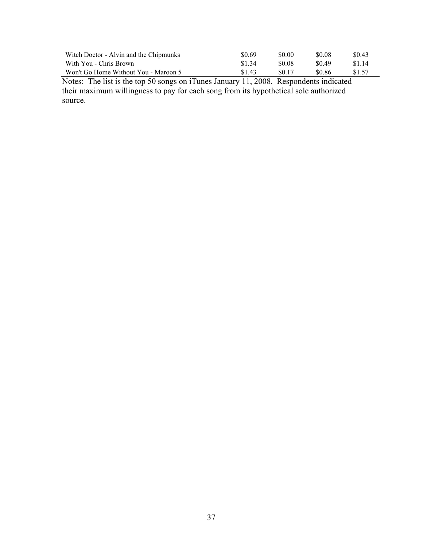| Witch Doctor - Alvin and the Chipmunks | \$0.69 | \$0.00 | \$0.08 | \$0.43 |
|----------------------------------------|--------|--------|--------|--------|
| With You - Chris Brown                 | \$1.34 | \$0.08 | SO 49  | \$1.14 |
| Won't Go Home Without You - Maroon 5   | \$1.43 | \$0.17 | \$0.86 | \$1.57 |

Notes: The list is the top 50 songs on iTunes January 11, 2008. Respondents indicated their maximum willingness to pay for each song from its hypothetical sole authorized source.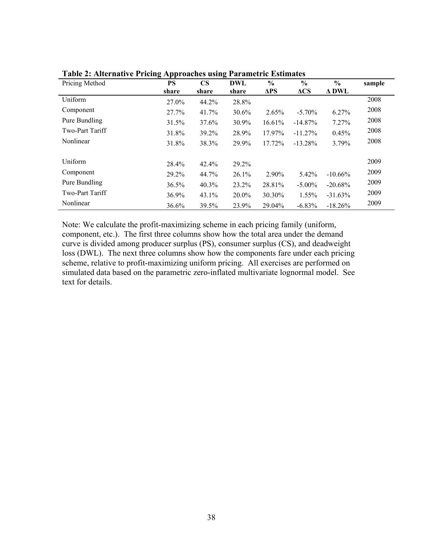| Pricing Method  | <b>PS</b><br>share | $\mathbf{CS}$<br>share | <b>DWL</b><br>share | $\frac{0}{0}$<br>$\Delta PS$ | $\frac{6}{6}$<br>$\Delta CS$ | $\frac{0}{0}$<br><b>A DWL</b> | sample |
|-----------------|--------------------|------------------------|---------------------|------------------------------|------------------------------|-------------------------------|--------|
| Uniform         | 27.0%              | 44.2%                  | 28.8%               |                              |                              |                               | 2008   |
| Component       | 27.7%              | 41.7%                  | $30.6\%$            | 2.65%                        | $-5.70\%$                    | 6.27%                         | 2008   |
| Pure Bundling   | 31.5%              | 37.6%                  | 30.9%               | 16.61%                       | $-14.87%$                    | 7.27%                         | 2008   |
| Two-Part Tariff | 31.8%              | 39.2%                  | 28.9%               | 17.97%                       | $-11.27\%$                   | 0.45%                         | 2008   |
| Nonlinear       | 31.8%              | 38.3%                  | 29.9%               | 17.72%                       | $-13.28%$                    | 3.79%                         | 2008   |
| Uniform         | 28.4%              | 42.4%                  | 29.2%               |                              |                              |                               | 2009   |
| Component       | 29.2%              | 44.7%                  | 26.1%               | 2.90%                        | 5.42%                        | $-10.66\%$                    | 2009   |
| Pure Bundling   | $36.5\%$           | 40.3%                  | 23.2%               | 28.81%                       | $-5.00\%$                    | $-20.68%$                     | 2009   |
| Two-Part Tariff | 36.9%              | 43.1%                  | $20.0\%$            | 30.30%                       | $1.55\%$                     | $-31.63%$                     | 2009   |
| Nonlinear       | 36.6%              | 39.5%                  | 23.9%               | 29.04%                       | $-6.83\%$                    | $-18.26%$                     | 2009   |

**Table 2: Alternative Pricing Approaches using Parametric Estimates** 

Note: We calculate the profit-maximizing scheme in each pricing family (uniform, component, etc.). The first three columns show how the total area under the demand curve is divided among producer surplus (PS), consumer surplus (CS), and deadweight loss (DWL). The next three columns show how the components fare under each pricing scheme, relative to profit-maximizing uniform pricing. All exercises are performed on simulated data based on the parametric zero-inflated multivariate lognormal model. See text for details.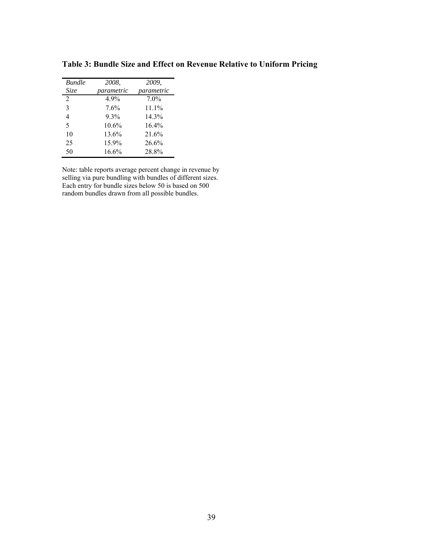| <b>Bundle</b>  | 2008.      | 2009.      |
|----------------|------------|------------|
| Size           | parametric | parametric |
| 2              | 4.9%       | $7.0\%$    |
| 3              | 7.6%       | $11.1\%$   |
| $\overline{4}$ | $9.3\%$    | 14.3%      |
| 5              | 10.6%      | 164%       |
| 10             | 13.6%      | 21.6%      |
| 25             | 15.9%      | 26.6%      |
| 50             | 16.6%      | 28.8%      |

**Table 3: Bundle Size and Effect on Revenue Relative to Uniform Pricing** 

Note: table reports average percent change in revenue by selling via pure bundling with bundles of different sizes. Each entry for bundle sizes below 50 is based on 500 random bundles drawn from all possible bundles.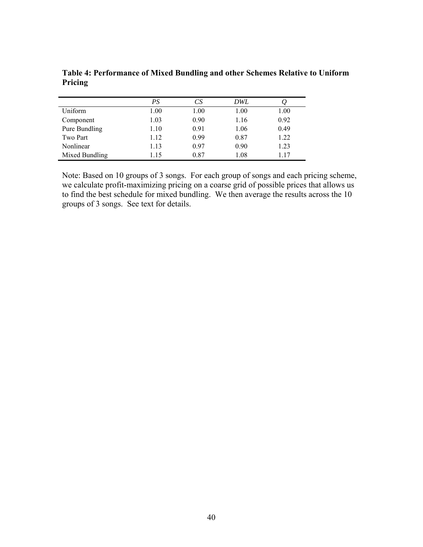|                | PS   | CS   | DWL  |      |
|----------------|------|------|------|------|
| Uniform        | 1.00 | 1.00 | 1.00 | 1.00 |
| Component      | 1.03 | 0.90 | 1.16 | 0.92 |
| Pure Bundling  | 1.10 | 0.91 | 1.06 | 0.49 |
| Two Part       | 1.12 | 0.99 | 0.87 | 1.22 |
| Nonlinear      | 1.13 | 0.97 | 0.90 | 1.23 |
| Mixed Bundling | 1.15 | 0.87 | 1.08 | 1.17 |

**Table 4: Performance of Mixed Bundling and other Schemes Relative to Uniform Pricing** 

Note: Based on 10 groups of 3 songs. For each group of songs and each pricing scheme, we calculate profit-maximizing pricing on a coarse grid of possible prices that allows us to find the best schedule for mixed bundling. We then average the results across the 10 groups of 3 songs. See text for details.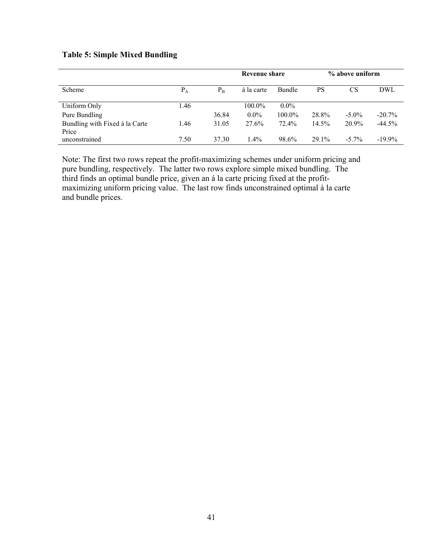# **Table 5: Simple Mixed Bundling**

|                                         |       |         | <b>Revenue share</b> |               |       | % above uniform |            |
|-----------------------------------------|-------|---------|----------------------|---------------|-------|-----------------|------------|
| Scheme                                  | $P_A$ | $P_{B}$ | á la carte           | <b>Bundle</b> | PS    | <b>CS</b>       | <b>DWL</b> |
| Uniform Only                            | 1.46  |         | $100.0\%$            | $0.0\%$       |       |                 |            |
| Pure Bundling                           |       | 36.84   | $0.0\%$              | 100.0%        | 28.8% | $-5.0\%$        | $-20.7\%$  |
| Bundling with Fixed á la Carte<br>Price | 1.46  | 31.05   | 27.6%                | 72.4%         | 14.5% | $20.9\%$        | $-44.5\%$  |
| unconstrained                           | 7.50  | 37.30   | $1.4\%$              | 98.6%         | 29.1% | $-5.7\%$        | $-19.9\%$  |

Note: The first two rows repeat the profit-maximizing schemes under uniform pricing and pure bundling, respectively. The latter two rows explore simple mixed bundling. The third finds an optimal bundle price, given an á la carte pricing fixed at the profitmaximizing uniform pricing value. The last row finds unconstrained optimal á la carte and bundle prices.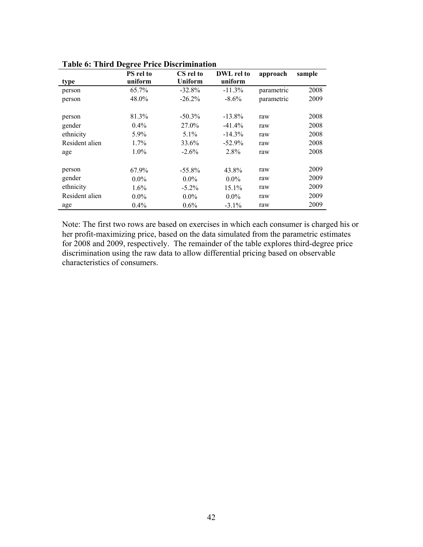|                | <b>PS</b> rel to | CS rel to      | DWL rel to | approach   | sample |
|----------------|------------------|----------------|------------|------------|--------|
| type           | uniform          | <b>Uniform</b> | uniform    |            |        |
| person         | 65.7%            | $-32.8%$       | $-11.3%$   | parametric | 2008   |
| person         | 48.0%            | $-26.2%$       | $-8.6\%$   | parametric | 2009   |
| person         | 81.3%            | $-50.3\%$      | $-13.8\%$  | raw        | 2008   |
| gender         | $0.4\%$          | 27.0%          | $-41.4%$   | raw        | 2008   |
| ethnicity      | 5.9%             | $5.1\%$        | $-14.3\%$  | raw        | 2008   |
| Resident alien | $1.7\%$          | 33.6%          | $-52.9%$   | raw        | 2008   |
| age            | 1.0%             | $-2.6\%$       | 2.8%       | raw        | 2008   |
| person         | 67.9%            | $-55.8\%$      | 43.8%      | raw        | 2009   |
| gender         | $0.0\%$          | $0.0\%$        | $0.0\%$    | raw        | 2009   |
| ethnicity      | $1.6\%$          | $-5.2\%$       | 15.1%      | raw        | 2009   |
| Resident alien | $0.0\%$          | $0.0\%$        | $0.0\%$    | raw        | 2009   |
| age            | 0.4%             | $0.6\%$        | $-3.1\%$   | raw        | 2009   |

**Table 6: Third Degree Price Discrimination** 

Note: The first two rows are based on exercises in which each consumer is charged his or her profit-maximizing price, based on the data simulated from the parametric estimates for 2008 and 2009, respectively. The remainder of the table explores third-degree price discrimination using the raw data to allow differential pricing based on observable characteristics of consumers.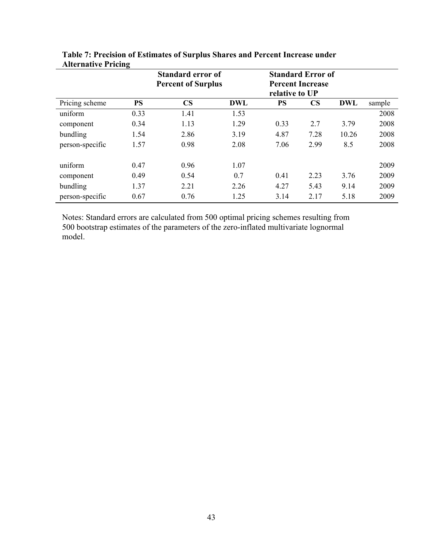|                 | $\overline{ }$ | <b>Standard error of</b><br><b>Percent of Surplus</b> |            | relative to UP | <b>Standard Error of</b><br><b>Percent Increase</b> |            |        |
|-----------------|----------------|-------------------------------------------------------|------------|----------------|-----------------------------------------------------|------------|--------|
| Pricing scheme  | <b>PS</b>      | $\mathbf{CS}$                                         | <b>DWL</b> | <b>PS</b>      | $\mathbf{CS}$                                       | <b>DWL</b> | sample |
| uniform         | 0.33           | 1.41                                                  | 1.53       |                |                                                     |            | 2008   |
| component       | 0.34           | 1.13                                                  | 1.29       | 0.33           | 2.7                                                 | 3.79       | 2008   |
| bundling        | 1.54           | 2.86                                                  | 3.19       | 4.87           | 7.28                                                | 10.26      | 2008   |
| person-specific | 1.57           | 0.98                                                  | 2.08       | 7.06           | 2.99                                                | 8.5        | 2008   |
| uniform         | 0.47           | 0.96                                                  | 1.07       |                |                                                     |            | 2009   |
| component       | 0.49           | 0.54                                                  | 0.7        | 0.41           | 2.23                                                | 3.76       | 2009   |
| bundling        | 1.37           | 2.21                                                  | 2.26       | 4.27           | 5.43                                                | 9.14       | 2009   |
| person-specific | 0.67           | 0.76                                                  | 1.25       | 3.14           | 2.17                                                | 5.18       | 2009   |

**Table 7: Precision of Estimates of Surplus Shares and Percent Increase under Alternative Pricing** 

Notes: Standard errors are calculated from 500 optimal pricing schemes resulting from 500 bootstrap estimates of the parameters of the zero-inflated multivariate lognormal model.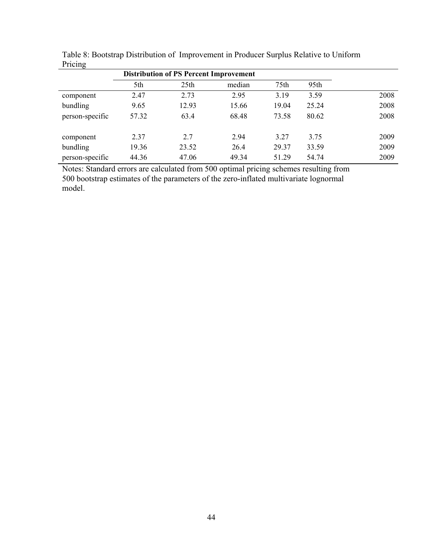| $\cdots$        |                                               |                  |        |       |       |      |
|-----------------|-----------------------------------------------|------------------|--------|-------|-------|------|
|                 | <b>Distribution of PS Percent Improvement</b> |                  |        |       |       |      |
|                 | 5th                                           | 25 <sub>th</sub> | median | 75th  | 95th  |      |
| component       | 2.47                                          | 2.73             | 2.95   | 3.19  | 3.59  | 2008 |
| bundling        | 9.65                                          | 12.93            | 15.66  | 19.04 | 25.24 | 2008 |
| person-specific | 57.32                                         | 63.4             | 68.48  | 73.58 | 80.62 | 2008 |
| component       | 2.37                                          | 2.7              | 2.94   | 3.27  | 3.75  | 2009 |
| bundling        | 19.36                                         | 23.52            | 26.4   | 29.37 | 33.59 | 2009 |
| person-specific | 44.36                                         | 47.06            | 49.34  | 51.29 | 54.74 | 2009 |

Table 8: Bootstrap Distribution of Improvement in Producer Surplus Relative to Uniform Pricing

Notes: Standard errors are calculated from 500 optimal pricing schemes resulting from 500 bootstrap estimates of the parameters of the zero-inflated multivariate lognormal model.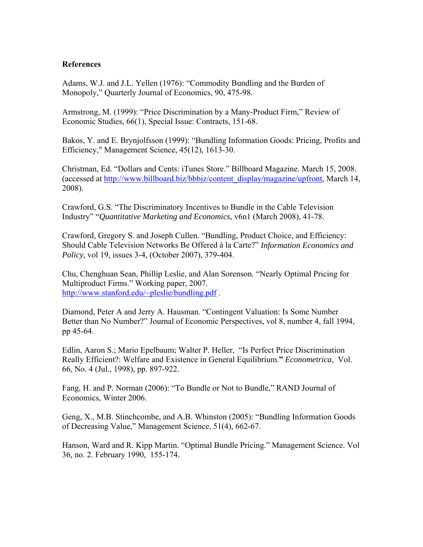## **References**

Adams, W.J. and J.L. Yellen (1976): "Commodity Bundling and the Burden of Monopoly," Quarterly Journal of Economics, 90, 475-98.

Armstrong, M. (1999): "Price Discrimination by a Many-Product Firm," Review of Economic Studies, 66(1), Special Issue: Contracts, 151-68.

Bakos, Y. and E. Brynjolfsson (1999): "Bundling Information Goods: Pricing, Profits and Efficiency," Management Science, 45(12), 1613-30.

Christman, Ed. "Dollars and Cents: iTunes Store." Billboard Magazine. March 15, 2008. (accessed at http://www.billboard.biz/bbbiz/content\_display/magazine/upfront, March 14, 2008).

Crawford, G.S. "The Discriminatory Incentives to Bundle in the Cable Television Industry" "*Quantitative Marketing and Economics*, v6n1 (March 2008), 41-78.

Crawford, Gregory S. and Joseph Cullen. "Bundling, Product Choice, and Efficiency: Should Cable Television Networks Be Offered à la Carte?" *Information Economics and Policy*, vol 19, issues 3-4, (October 2007), 379-404.

Chu, Chenghuan Sean, Phillip Leslie, and Alan Sorenson. "Nearly Optimal Pricing for Multiproduct Firms." Working paper, 2007. http://www.stanford.edu/~pleslie/bundling.pdf .

Diamond, Peter A and Jerry A. Hausman. "Contingent Valuation: Is Some Number Better than No Number?" Journal of Economic Perspectives, vol 8, number 4, fall 1994, pp 45-64.

Edlin, Aaron S.; Mario Epelbaum; Walter P. Heller, "Is Perfect Price Discrimination Really Efficient?: Welfare and Existence in General Equilibrium.**"** *Econometrica*, Vol. 66, No. 4 (Jul., 1998), pp. 897-922.

Fang, H. and P. Norman (2006): "To Bundle or Not to Bundle," RAND Journal of Economics, Winter 2006.

Geng, X., M.B. Stinchcombe, and A.B. Whinston (2005): "Bundling Information Goods of Decreasing Value," Management Science, 51(4), 662-67.

Hanson, Ward and R. Kipp Martin. "Optimal Bundle Pricing." Management Science. Vol 36, no. 2. February 1990, 155-174.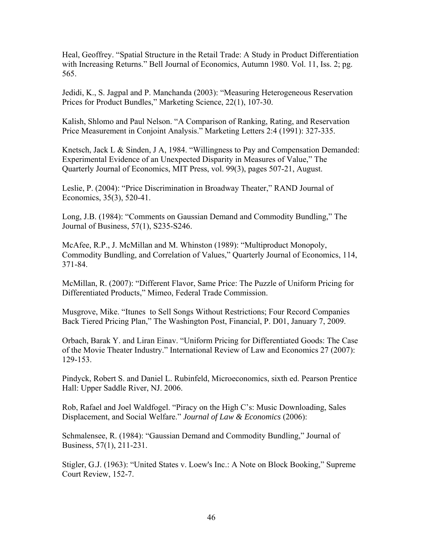Heal, Geoffrey. "Spatial Structure in the Retail Trade: A Study in Product Differentiation with Increasing Returns." Bell Journal of Economics, Autumn 1980. Vol. 11, Iss. 2; pg. 565.

Jedidi, K., S. Jagpal and P. Manchanda (2003): "Measuring Heterogeneous Reservation Prices for Product Bundles," Marketing Science, 22(1), 107-30.

Kalish, Shlomo and Paul Nelson. "A Comparison of Ranking, Rating, and Reservation Price Measurement in Conjoint Analysis." Marketing Letters 2:4 (1991): 327-335.

Knetsch, Jack L & Sinden, J A, 1984. "Willingness to Pay and Compensation Demanded: Experimental Evidence of an Unexpected Disparity in Measures of Value," The Quarterly Journal of Economics, MIT Press, vol. 99(3), pages 507-21, August.

Leslie, P. (2004): "Price Discrimination in Broadway Theater," RAND Journal of Economics, 35(3), 520-41.

Long, J.B. (1984): "Comments on Gaussian Demand and Commodity Bundling," The Journal of Business, 57(1), S235-S246.

McAfee, R.P., J. McMillan and M. Whinston (1989): "Multiproduct Monopoly, Commodity Bundling, and Correlation of Values," Quarterly Journal of Economics, 114, 371-84.

McMillan, R. (2007): "Different Flavor, Same Price: The Puzzle of Uniform Pricing for Differentiated Products," Mimeo, Federal Trade Commission.

Musgrove, Mike. "Itunes to Sell Songs Without Restrictions; Four Record Companies Back Tiered Pricing Plan," The Washington Post, Financial, P. D01, January 7, 2009.

Orbach, Barak Y. and Liran Einav. "Uniform Pricing for Differentiated Goods: The Case of the Movie Theater Industry." International Review of Law and Economics 27 (2007): 129-153.

Pindyck, Robert S. and Daniel L. Rubinfeld, Microeconomics, sixth ed. Pearson Prentice Hall: Upper Saddle River, NJ. 2006.

Rob, Rafael and Joel Waldfogel. "Piracy on the High C's: Music Downloading, Sales Displacement, and Social Welfare." *Journal of Law & Economics* (2006):

Schmalensee, R. (1984): "Gaussian Demand and Commodity Bundling," Journal of Business, 57(1), 211-231.

Stigler, G.J. (1963): "United States v. Loew's Inc.: A Note on Block Booking," Supreme Court Review, 152-7.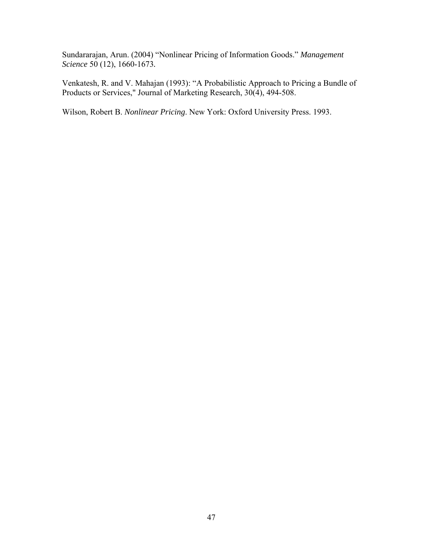Sundararajan, Arun. (2004) "Nonlinear Pricing of Information Goods." *Management Science* 50 (12), 1660-1673*.* 

Venkatesh, R. and V. Mahajan (1993): "A Probabilistic Approach to Pricing a Bundle of Products or Services," Journal of Marketing Research, 30(4), 494-508.

Wilson, Robert B. *Nonlinear Pricing*. New York: Oxford University Press. 1993.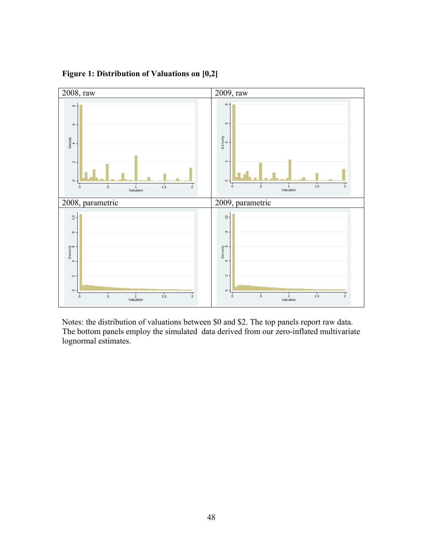

**Figure 1: Distribution of Valuations on [0,2]** 

Notes: the distribution of valuations between \$0 and \$2. The top panels report raw data. The bottom panels employ the simulated data derived from our zero-inflated multivariate lognormal estimates.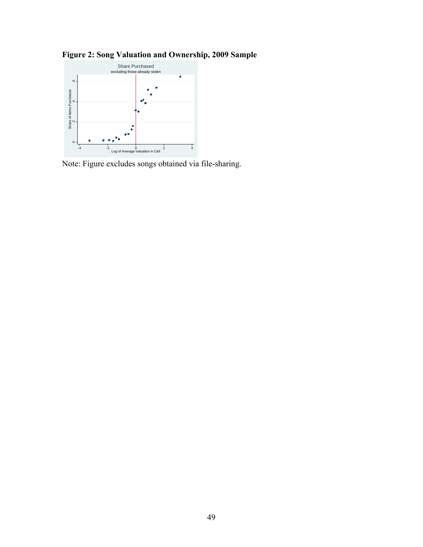



Note: Figure excludes songs obtained via file-sharing.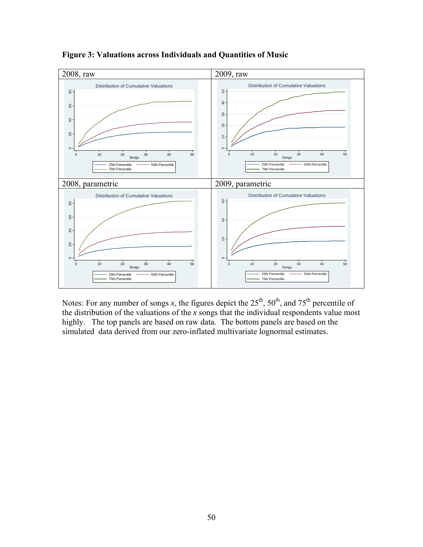

**Figure 3: Valuations across Individuals and Quantities of Music** 

Notes: For any number of songs  $x$ , the figures depict the  $25<sup>th</sup>$ ,  $50<sup>th</sup>$ , and  $75<sup>th</sup>$  percentile of the distribution of the valuations of the *x* songs that the individual respondents value most highly. The top panels are based on raw data. The bottom panels are based on the simulated data derived from our zero-inflated multivariate lognormal estimates.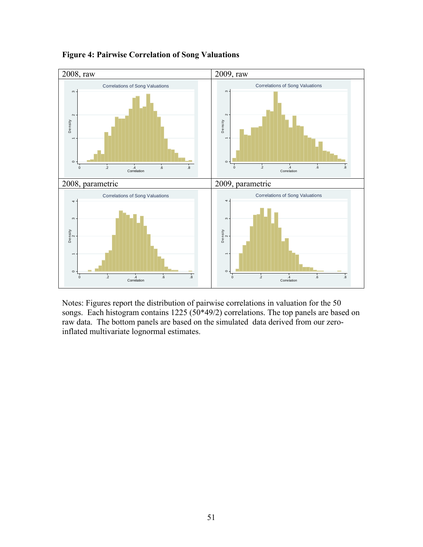

**Figure 4: Pairwise Correlation of Song Valuations** 

Notes: Figures report the distribution of pairwise correlations in valuation for the 50 songs. Each histogram contains  $1225 (50*49/2)$  correlations. The top panels are based on raw data. The bottom panels are based on the simulated data derived from our zeroinflated multivariate lognormal estimates.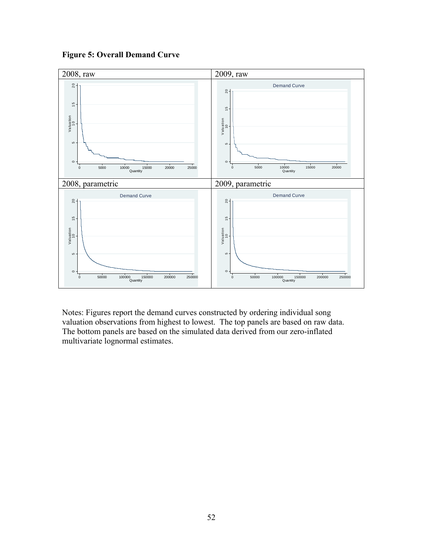

**Figure 5: Overall Demand Curve** 

Notes: Figures report the demand curves constructed by ordering individual song valuation observations from highest to lowest. The top panels are based on raw data. The bottom panels are based on the simulated data derived from our zero-inflated multivariate lognormal estimates.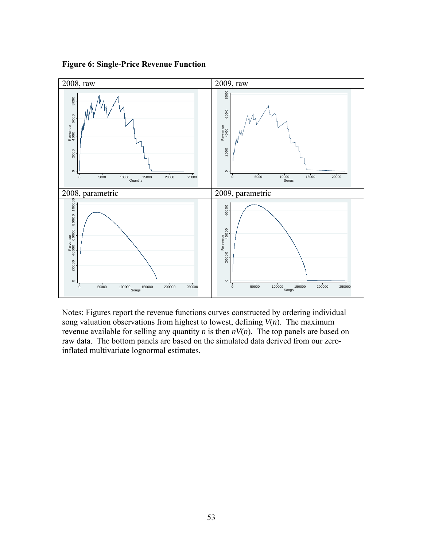**Figure 6: Single-Price Revenue Function** 



Notes: Figures report the revenue functions curves constructed by ordering individual song valuation observations from highest to lowest, defining  $V(n)$ . The maximum revenue available for selling any quantity *n* is then  $nV(n)$ . The top panels are based on raw data. The bottom panels are based on the simulated data derived from our zeroinflated multivariate lognormal estimates.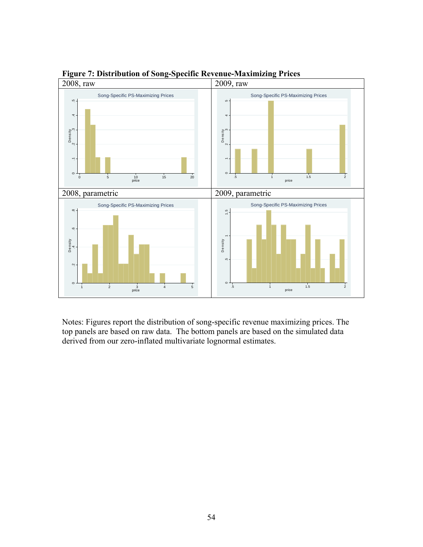

**Figure 7: Distribution of Song-Specific Revenue-Maximizing Prices** 

Notes: Figures report the distribution of song-specific revenue maximizing prices. The top panels are based on raw data. The bottom panels are based on the simulated data derived from our zero-inflated multivariate lognormal estimates.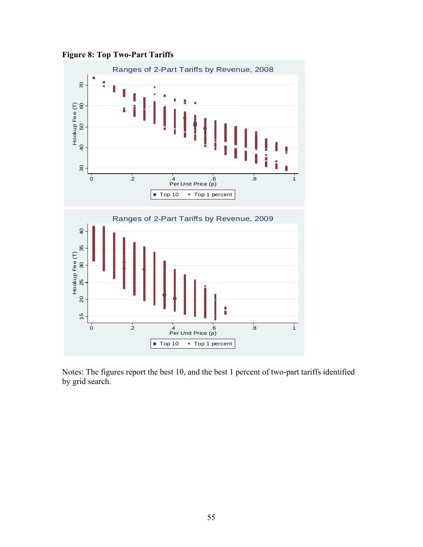**Figure 8: Top Two-Part Tariffs** 



Notes: The figures report the best 10, and the best 1 percent of two-part tariffs identified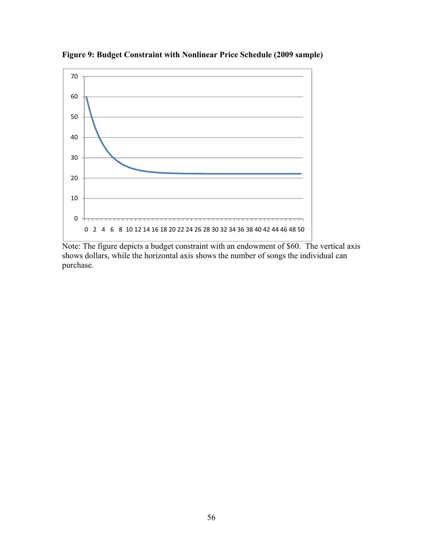

**Figure 9: Budget Constraint with Nonlinear Price Schedule (2009 sample)** 

Note: The figure depicts a budget constraint with an endowment of \$60. The vertical axis shows dollars, while the horizontal axis shows the number of songs the individual can purchase.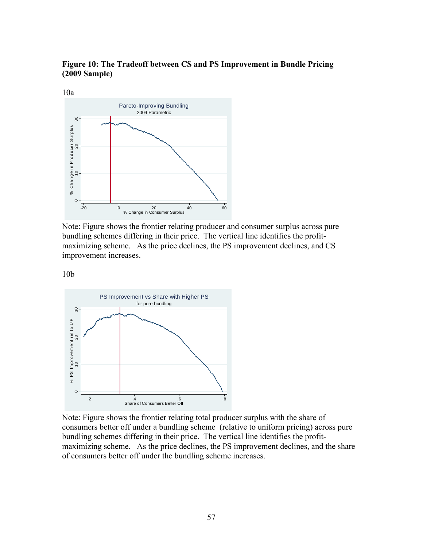**Figure 10: The Tradeoff between CS and PS Improvement in Bundle Pricing (2009 Sample)** 



Note: Figure shows the frontier relating producer and consumer surplus across pure bundling schemes differing in their price. The vertical line identifies the profitmaximizing scheme. As the price declines, the PS improvement declines, and CS improvement increases.

10b



Note: Figure shows the frontier relating total producer surplus with the share of consumers better off under a bundling scheme (relative to uniform pricing) across pure bundling schemes differing in their price. The vertical line identifies the profitmaximizing scheme. As the price declines, the PS improvement declines, and the share of consumers better off under the bundling scheme increases.